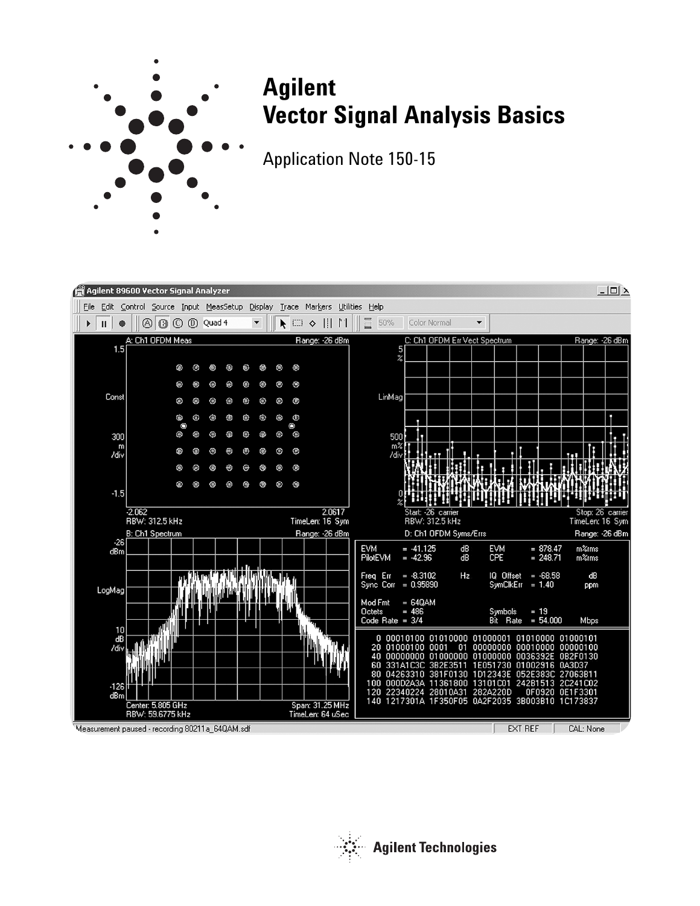

# **Agilent Vector Signal Analysis Basics**

Application Note 150-15



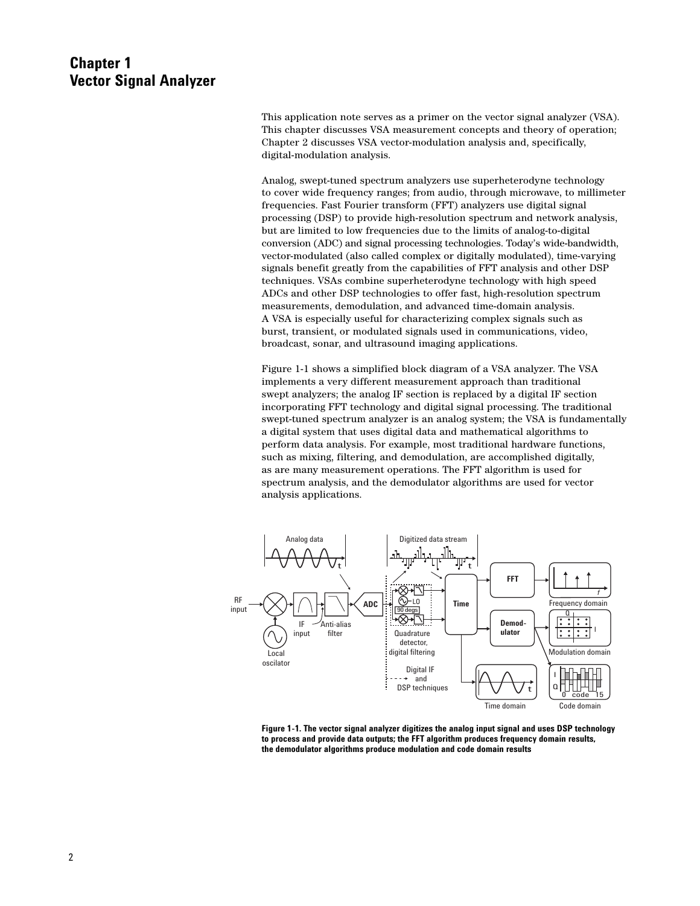# **Chapter 1 Vector Signal Analyzer**

This application note serves as a primer on the vector signal analyzer (VSA). This chapter discusses VSA measurement concepts and theory of operation; Chapter 2 discusses VSA vector-modulation analysis and, specifically, digital-modulation analysis.

Analog, swept-tuned spectrum analyzers use superheterodyne technology to cover wide frequency ranges; from audio, through microwave, to millimeter frequencies. Fast Fourier transform (FFT) analyzers use digital signal processing (DSP) to provide high-resolution spectrum and network analysis, but are limited to low frequencies due to the limits of analog-to-digital conversion (ADC) and signal processing technologies. Today's wide-bandwidth, vector-modulated (also called complex or digitally modulated), time-varying signals benefit greatly from the capabilities of FFT analysis and other DSP techniques. VSAs combine superheterodyne technology with high speed ADCs and other DSP technologies to offer fast, high-resolution spectrum measurements, demodulation, and advanced time-domain analysis. A VSA is especially useful for characterizing complex signals such as burst, transient, or modulated signals used in communications, video, broadcast, sonar, and ultrasound imaging applications.

Figure 1-1 shows a simplified block diagram of a VSA analyzer. The VSA implements a very different measurement approach than traditional swept analyzers; the analog IF section is replaced by a digital IF section incorporating FFT technology and digital signal processing. The traditional swept-tuned spectrum analyzer is an analog system; the VSA is fundamentally a digital system that uses digital data and mathematical algorithms to perform data analysis. For example, most traditional hardware functions, such as mixing, filtering, and demodulation, are accomplished digitally, as are many measurement operations. The FFT algorithm is used for spectrum analysis, and the demodulator algorithms are used for vector analysis applications.



**Figure 1-1. The vector signal analyzer digitizes the analog input signal and uses DSP technology to process and provide data outputs; the FFT algorithm produces frequency domain results, the demodulator algorithms produce modulation and code domain results**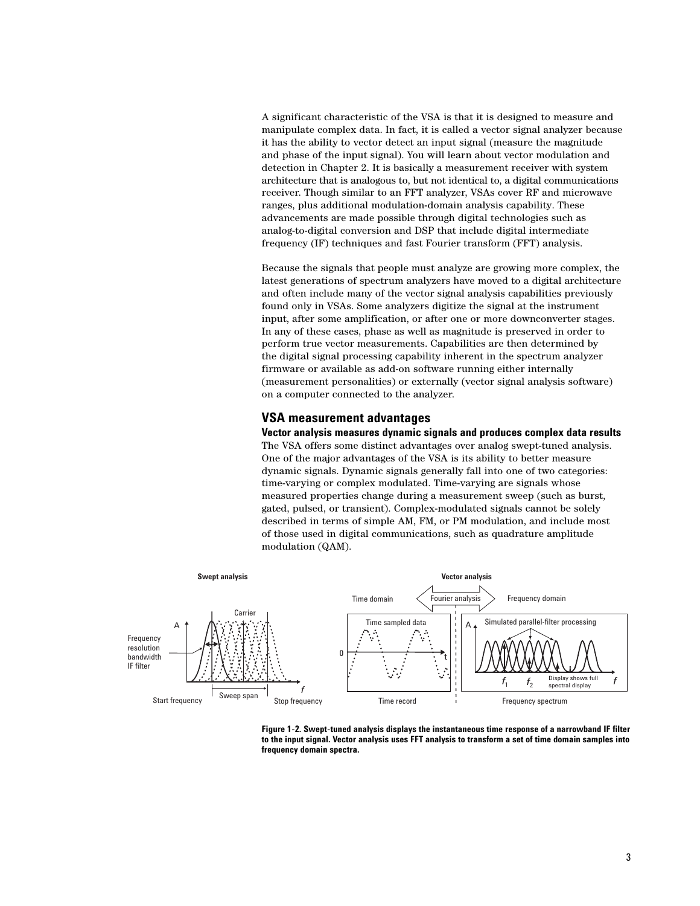A significant characteristic of the VSA is that it is designed to measure and manipulate complex data. In fact, it is called a vector signal analyzer because it has the ability to vector detect an input signal (measure the magnitude and phase of the input signal). You will learn about vector modulation and detection in Chapter 2. It is basically a measurement receiver with system architecture that is analogous to, but not identical to, a digital communications receiver. Though similar to an FFT analyzer, VSAs cover RF and microwave ranges, plus additional modulation-domain analysis capability. These advancements are made possible through digital technologies such as analog-to-digital conversion and DSP that include digital intermediate frequency (IF) techniques and fast Fourier transform (FFT) analysis.

Because the signals that people must analyze are growing more complex, the latest generations of spectrum analyzers have moved to a digital architecture and often include many of the vector signal analysis capabilities previously found only in VSAs. Some analyzers digitize the signal at the instrument input, after some amplification, or after one or more downconverter stages. In any of these cases, phase as well as magnitude is preserved in order to perform true vector measurements. Capabilities are then determined by the digital signal processing capability inherent in the spectrum analyzer firmware or available as add-on software running either internally (measurement personalities) or externally (vector signal analysis software) on a computer connected to the analyzer.

### **VSA measurement advantages**

**Vector analysis measures dynamic signals and produces complex data results**

The VSA offers some distinct advantages over analog swept-tuned analysis. One of the major advantages of the VSA is its ability to better measure dynamic signals. Dynamic signals generally fall into one of two categories: time-varying or complex modulated. Time-varying are signals whose measured properties change during a measurement sweep (such as burst, gated, pulsed, or transient). Complex-modulated signals cannot be solely described in terms of simple AM, FM, or PM modulation, and include most of those used in digital communications, such as quadrature amplitude modulation (QAM).



**Figure 1-2. Swept-tuned analysis displays the instantaneous time response of a narrowband IF filter to the input signal. Vector analysis uses FFT analysis to transform a set of time domain samples into frequency domain spectra.**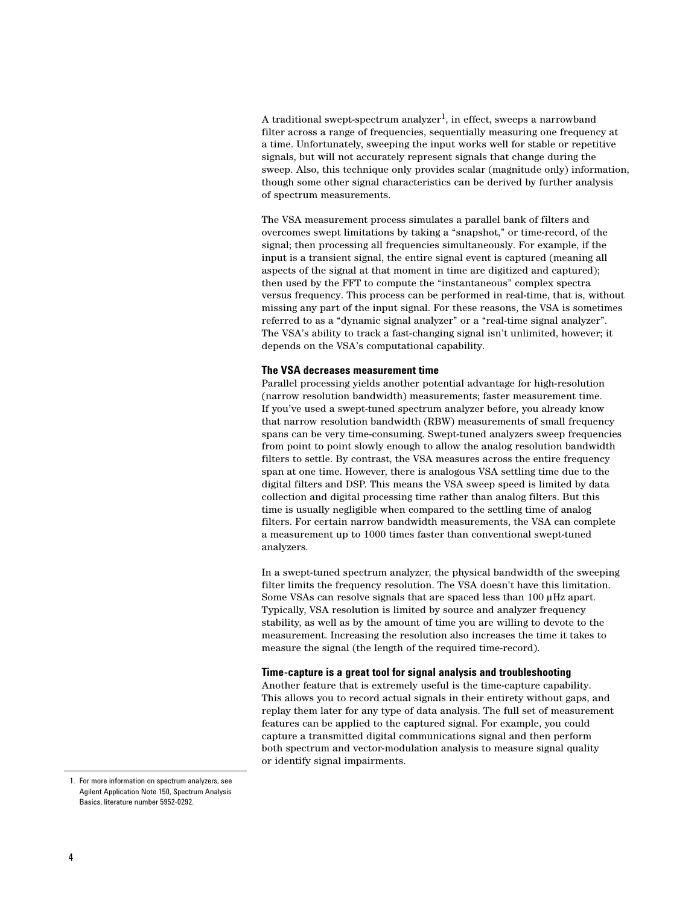A traditional swept-spectrum analyzer<sup>1</sup>, in effect, sweeps a narrowband filter across a range of frequencies, sequentially measuring one frequency at a time. Unfortunately, sweeping the input works well for stable or repetitive signals, but will not accurately represent signals that change during the sweep. Also, this technique only provides scalar (magnitude only) information, though some other signal characteristics can be derived by further analysis of spectrum measurements.

The VSA measurement process simulates a parallel bank of filters and overcomes swept limitations by taking a "snapshot," or time-record, of the signal; then processing all frequencies simultaneously. For example, if the input is a transient signal, the entire signal event is captured (meaning all aspects of the signal at that moment in time are digitized and captured); then used by the FFT to compute the "instantaneous" complex spectra versus frequency. This process can be performed in real-time, that is, without missing any part of the input signal. For these reasons, the VSA is sometimes referred to as a "dynamic signal analyzer" or a "real-time signal analyzer". The VSA's ability to track a fast-changing signal isn't unlimited, however; it depends on the VSA's computational capability.

#### **The VSA decreases measurement time**

Parallel processing yields another potential advantage for high-resolution (narrow resolution bandwidth) measurements; faster measurement time. If you've used a swept-tuned spectrum analyzer before, you already know that narrow resolution bandwidth (RBW) measurements of small frequency spans can be very time-consuming. Swept-tuned analyzers sweep frequencies from point to point slowly enough to allow the analog resolution bandwidth filters to settle. By contrast, the VSA measures across the entire frequency span at one time. However, there is analogous VSA settling time due to the digital filters and DSP. This means the VSA sweep speed is limited by data collection and digital processing time rather than analog filters. But this time is usually negligible when compared to the settling time of analog filters. For certain narrow bandwidth measurements, the VSA can complete a measurement up to 1000 times faster than conventional swept-tuned analyzers.

In a swept-tuned spectrum analyzer, the physical bandwidth of the sweeping filter limits the frequency resolution. The VSA doesn't have this limitation. Some VSAs can resolve signals that are spaced less than 100  $\mu$ Hz apart. Typically, VSA resolution is limited by source and analyzer frequency stability, as well as by the amount of time you are willing to devote to the measurement. Increasing the resolution also increases the time it takes to measure the signal (the length of the required time-record).

#### **Time-capture is a great tool for signal analysis and troubleshooting**

Another feature that is extremely useful is the time-capture capability. This allows you to record actual signals in their entirety without gaps, and replay them later for any type of data analysis. The full set of measurement features can be applied to the captured signal. For example, you could capture a transmitted digital communications signal and then perform both spectrum and vector-modulation analysis to measure signal quality or identify signal impairments.

<sup>1.</sup> For more information on spectrum analyzers, see Agilent Application Note 150, Spectrum Analysis Basics, literature number 5952-0292.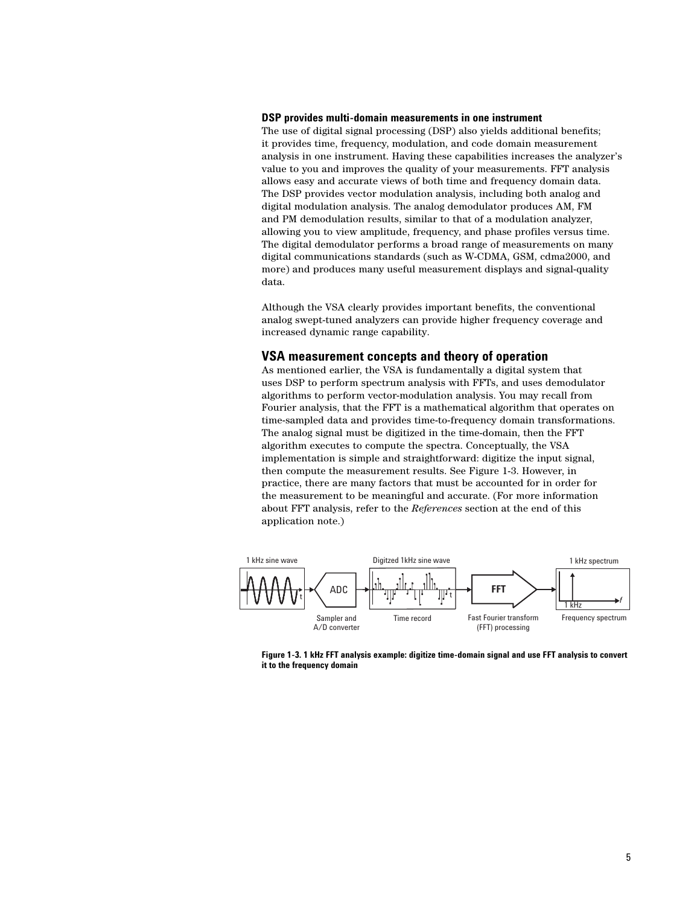#### **DSP provides multi-domain measurements in one instrument**

The use of digital signal processing (DSP) also yields additional benefits; it provides time, frequency, modulation, and code domain measurement analysis in one instrument. Having these capabilities increases the analyzer's value to you and improves the quality of your measurements. FFT analysis allows easy and accurate views of both time and frequency domain data. The DSP provides vector modulation analysis, including both analog and digital modulation analysis. The analog demodulator produces AM, FM and PM demodulation results, similar to that of a modulation analyzer, allowing you to view amplitude, frequency, and phase profiles versus time. The digital demodulator performs a broad range of measurements on many digital communications standards (such as W-CDMA, GSM, cdma2000, and more) and produces many useful measurement displays and signal-quality data.

Although the VSA clearly provides important benefits, the conventional analog swept-tuned analyzers can provide higher frequency coverage and increased dynamic range capability.

#### **VSA measurement concepts and theory of operation**

As mentioned earlier, the VSA is fundamentally a digital system that uses DSP to perform spectrum analysis with FFTs, and uses demodulator algorithms to perform vector-modulation analysis. You may recall from Fourier analysis, that the FFT is a mathematical algorithm that operates on time-sampled data and provides time-to-frequency domain transformations. The analog signal must be digitized in the time-domain, then the FFT algorithm executes to compute the spectra. Conceptually, the VSA implementation is simple and straightforward: digitize the input signal, then compute the measurement results. See Figure 1-3. However, in practice, there are many factors that must be accounted for in order for the measurement to be meaningful and accurate. (For more information about FFT analysis, refer to the *References* section at the end of this application note.)



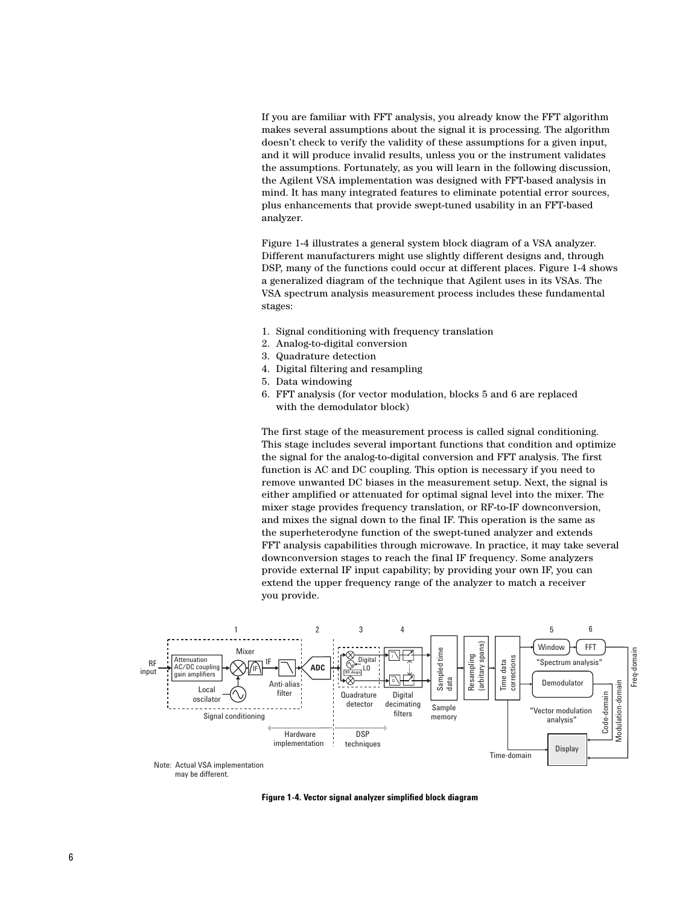If you are familiar with FFT analysis, you already know the FFT algorithm makes several assumptions about the signal it is processing. The algorithm doesn't check to verify the validity of these assumptions for a given input, and it will produce invalid results, unless you or the instrument validates the assumptions. Fortunately, as you will learn in the following discussion, the Agilent VSA implementation was designed with FFT-based analysis in mind. It has many integrated features to eliminate potential error sources, plus enhancements that provide swept-tuned usability in an FFT-based analyzer.

Figure 1-4 illustrates a general system block diagram of a VSA analyzer. Different manufacturers might use slightly different designs and, through DSP, many of the functions could occur at different places. Figure 1-4 shows a generalized diagram of the technique that Agilent uses in its VSAs. The VSA spectrum analysis measurement process includes these fundamental stages:

- 1. Signal conditioning with frequency translation
- 2. Analog-to-digital conversion
- 3. Quadrature detection
- 4. Digital filtering and resampling
- 5. Data windowing
- 6. FFT analysis (for vector modulation, blocks 5 and 6 are replaced with the demodulator block)

The first stage of the measurement process is called signal conditioning. This stage includes several important functions that condition and optimize the signal for the analog-to-digital conversion and FFT analysis. The first function is AC and DC coupling. This option is necessary if you need to remove unwanted DC biases in the measurement setup. Next, the signal is either amplified or attenuated for optimal signal level into the mixer. The mixer stage provides frequency translation, or RF-to-IF downconversion, and mixes the signal down to the final IF. This operation is the same as the superheterodyne function of the swept-tuned analyzer and extends FFT analysis capabilities through microwave. In practice, it may take several downconversion stages to reach the final IF frequency. Some analyzers provide external IF input capability; by providing your own IF, you can extend the upper frequency range of the analyzer to match a receiver you provide.



**Figure 1-4. Vector signal analyzer simplified block diagram**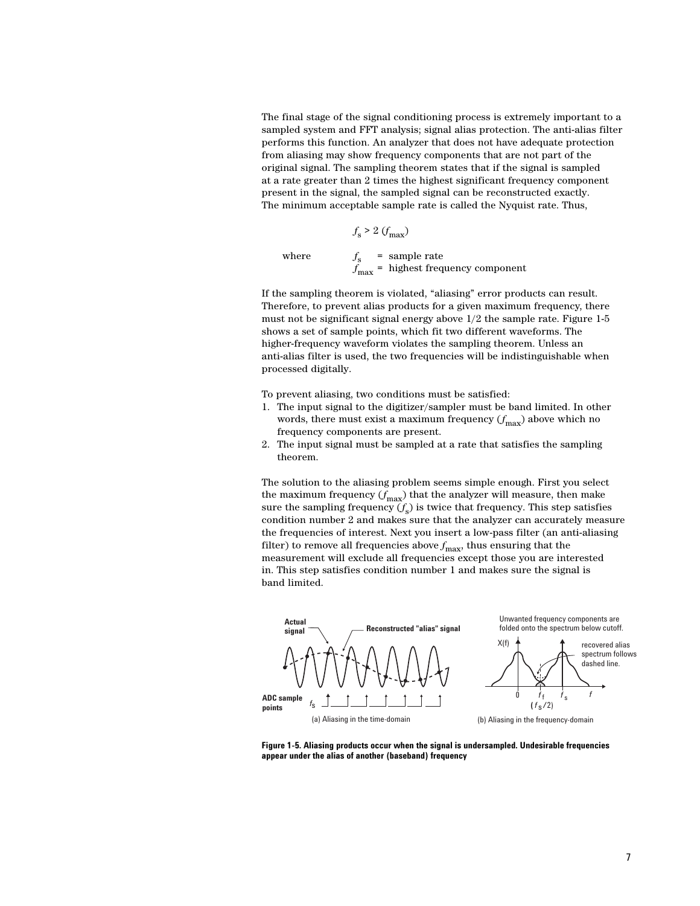The final stage of the signal conditioning process is extremely important to a sampled system and FFT analysis; signal alias protection. The anti-alias filter performs this function. An analyzer that does not have adequate protection from aliasing may show frequency components that are not part of the original signal. The sampling theorem states that if the signal is sampled at a rate greater than 2 times the highest significant frequency component present in the signal, the sampled signal can be reconstructed exactly. The minimum acceptable sample rate is called the Nyquist rate. Thus,

 $f_{\rm s}$  > 2 ( $f_{\rm max}$ )

where *f*

 $s =$  sample rate  $f_{\text{max}}$  = highest frequency component

If the sampling theorem is violated, "aliasing" error products can result. Therefore, to prevent alias products for a given maximum frequency, there must not be significant signal energy above 1/2 the sample rate. Figure 1-5 shows a set of sample points, which fit two different waveforms. The higher-frequency waveform violates the sampling theorem. Unless an anti-alias filter is used, the two frequencies will be indistinguishable when processed digitally.

To prevent aliasing, two conditions must be satisfied:

- 1. The input signal to the digitizer/sampler must be band limited. In other words, there must exist a maximum frequency (*f* max) above which no frequency components are present.
- 2. The input signal must be sampled at a rate that satisfies the sampling theorem.

The solution to the aliasing problem seems simple enough. First you select the maximum frequency  $(f_{\rm max})$  that the analyzer will measure, then make sure the sampling frequency  $(f_{\rm s})$  is twice that frequency. This step satisfies condition number 2 and makes sure that the analyzer can accurately measure the frequencies of interest. Next you insert a low-pass filter (an anti-aliasing filter) to remove all frequencies above  $f_{\rm max}^{\phantom{\dag}}$ , thus ensuring that the measurement will exclude all frequencies except those you are interested in. This step satisfies condition number 1 and makes sure the signal is band limited.



**Figure 1-5. Aliasing products occur when the signal is undersampled. Undesirable frequencies appear under the alias of another (baseband) frequency**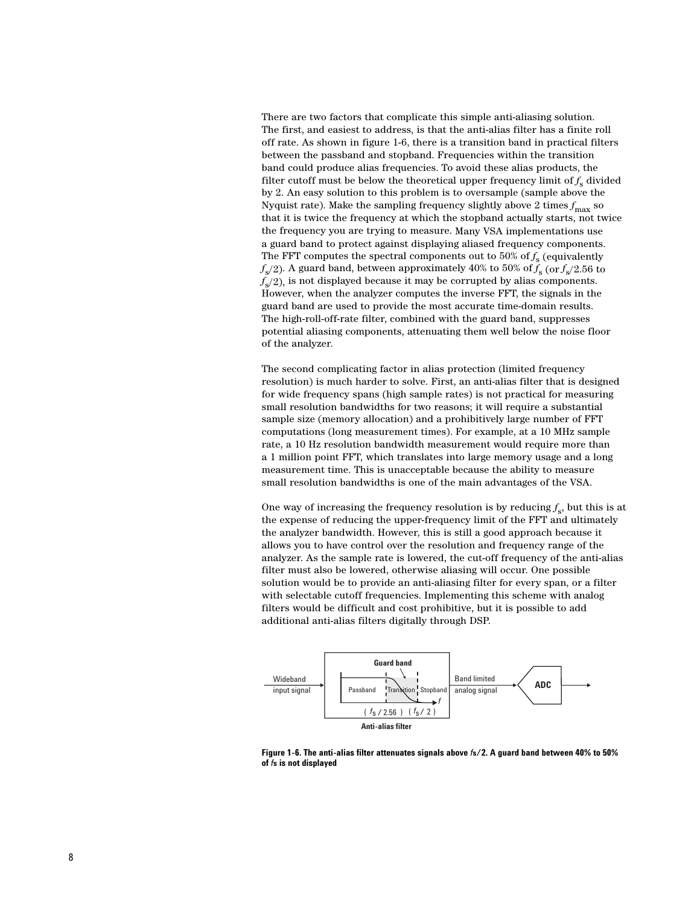There are two factors that complicate this simple anti-aliasing solution. The first, and easiest to address, is that the anti-alias filter has a finite roll off rate. As shown in figure 1-6, there is a transition band in practical filters between the passband and stopband. Frequencies within the transition band could produce alias frequencies. To avoid these alias products, the filter cutoff must be below the theoretical upper frequency limit of  $f_{\rm s}$  divided by 2. An easy solution to this problem is to oversample (sample above the Nyquist rate). Make the sampling frequency slightly above 2 times  $f_{\rm max}$  so that it is twice the frequency at which the stopband actually starts, not twice the frequency you are trying to measure. Many VSA implementations use a guard band to protect against displaying aliased frequency components. The FFT computes the spectral components out to  $50\%$  of  $f_{\rm s}$  (equivalently  $f_{\rm s}$ /2). A guard band, between approximately 40% to 50% of  $f_{\rm s}$  (or  $f_{\rm s}$ /2.56 to  $f_{\rm s}$ /2), is not displayed because it may be corrupted by alias components. However, when the analyzer computes the inverse FFT, the signals in the guard band are used to provide the most accurate time-domain results. The high-roll-off-rate filter, combined with the guard band, suppresses potential aliasing components, attenuating them well below the noise floor of the analyzer.

The second complicating factor in alias protection (limited frequency resolution) is much harder to solve. First, an anti-alias filter that is designed for wide frequency spans (high sample rates) is not practical for measuring small resolution bandwidths for two reasons; it will require a substantial sample size (memory allocation) and a prohibitively large number of FFT computations (long measurement times). For example, at a 10 MHz sample rate, a 10 Hz resolution bandwidth measurement would require more than a 1 million point FFT, which translates into large memory usage and a long measurement time. This is unacceptable because the ability to measure small resolution bandwidths is one of the main advantages of the VSA.

One way of increasing the frequency resolution is by reducing  $f_s$ , but this is at the expense of reducing the upper-frequency limit of the FFT and ultimately the analyzer bandwidth. However, this is still a good approach because it allows you to have control over the resolution and frequency range of the analyzer. As the sample rate is lowered, the cut-off frequency of the anti-alias filter must also be lowered, otherwise aliasing will occur. One possible solution would be to provide an anti-aliasing filter for every span, or a filter with selectable cutoff frequencies. Implementing this scheme with analog filters would be difficult and cost prohibitive, but it is possible to add additional anti-alias filters digitally through DSP.



**Figure 1-6. The anti-alias filter attenuates signals above** *f***s/2. A guard band between 40% to 50% of** *f***s is not displayed**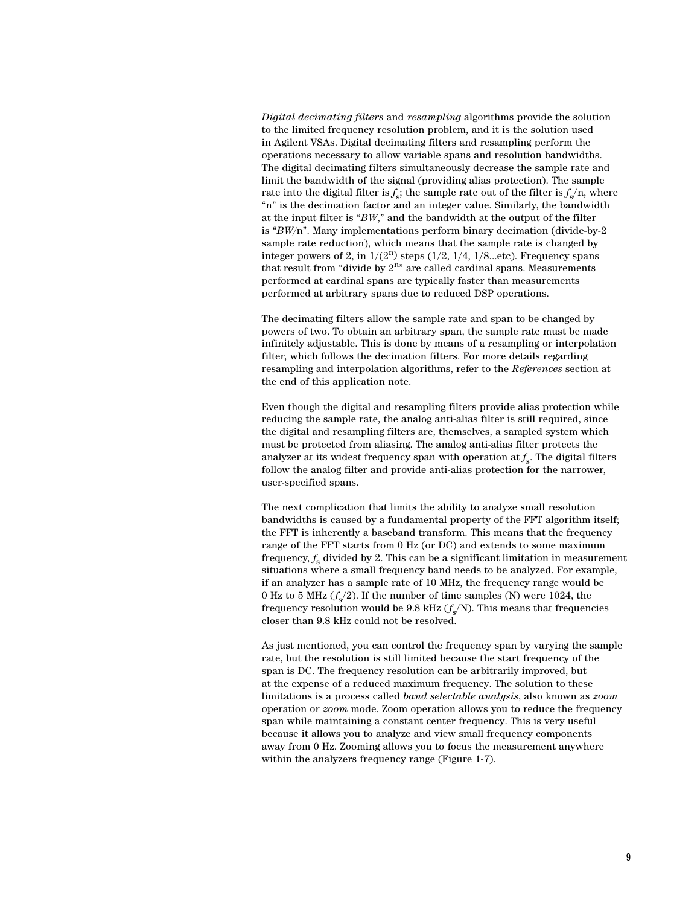*Digital decimating filters* and *resampling* algorithms provide the solution to the limited frequency resolution problem, and it is the solution used in Agilent VSAs. Digital decimating filters and resampling perform the operations necessary to allow variable spans and resolution bandwidths. The digital decimating filters simultaneously decrease the sample rate and limit the bandwidth of the signal (providing alias protection). The sample rate into the digital filter is  $f_{\rm s}$ ; the sample rate out of the filter is  $f_{\rm s}^{\,}{}'$ n, where "n" is the decimation factor and an integer value. Similarly, the bandwidth at the input filter is "*BW*," and the bandwidth at the output of the filter is "*BW/*n". Many implementations perform binary decimation (divide-by-2 sample rate reduction), which means that the sample rate is changed by integer powers of 2, in  $1/(2^n)$  steps (1/2, 1/4, 1/8...etc). Frequency spans that result from "divide by  $2^{n}$ " are called cardinal spans. Measurements performed at cardinal spans are typically faster than measurements performed at arbitrary spans due to reduced DSP operations.

The decimating filters allow the sample rate and span to be changed by powers of two. To obtain an arbitrary span, the sample rate must be made infinitely adjustable. This is done by means of a resampling or interpolation filter, which follows the decimation filters. For more details regarding resampling and interpolation algorithms, refer to the *References* section at the end of this application note.

Even though the digital and resampling filters provide alias protection while reducing the sample rate, the analog anti-alias filter is still required, since the digital and resampling filters are, themselves, a sampled system which must be protected from aliasing. The analog anti-alias filter protects the analyzer at its widest frequency span with operation  $\mathrm{at} f_{\mathbf{s}}$ . The digital filters follow the analog filter and provide anti-alias protection for the narrower, user-specified spans.

The next complication that limits the ability to analyze small resolution bandwidths is caused by a fundamental property of the FFT algorithm itself; the FFT is inherently a baseband transform. This means that the frequency range of the FFT starts from 0 Hz (or DC) and extends to some maximum frequency,  $f_{\rm s}$  divided by 2. This can be a significant limitation in measurement situations where a small frequency band needs to be analyzed. For example, if an analyzer has a sample rate of 10 MHz, the frequency range would be 0 Hz to 5 MHz  $(f_s/2)$ . If the number of time samples (N) were 1024, the frequency resolution would be  $9.8$  kHz  $(f_{\rm s}{\rm /}N)$ . This means that frequencies closer than 9.8 kHz could not be resolved.

As just mentioned, you can control the frequency span by varying the sample rate, but the resolution is still limited because the start frequency of the span is DC. The frequency resolution can be arbitrarily improved, but at the expense of a reduced maximum frequency. The solution to these limitations is a process called *band selectable analysis*, also known as *zoom* operation or *zoom* mode. Zoom operation allows you to reduce the frequency span while maintaining a constant center frequency. This is very useful because it allows you to analyze and view small frequency components away from 0 Hz. Zooming allows you to focus the measurement anywhere within the analyzers frequency range (Figure 1-7).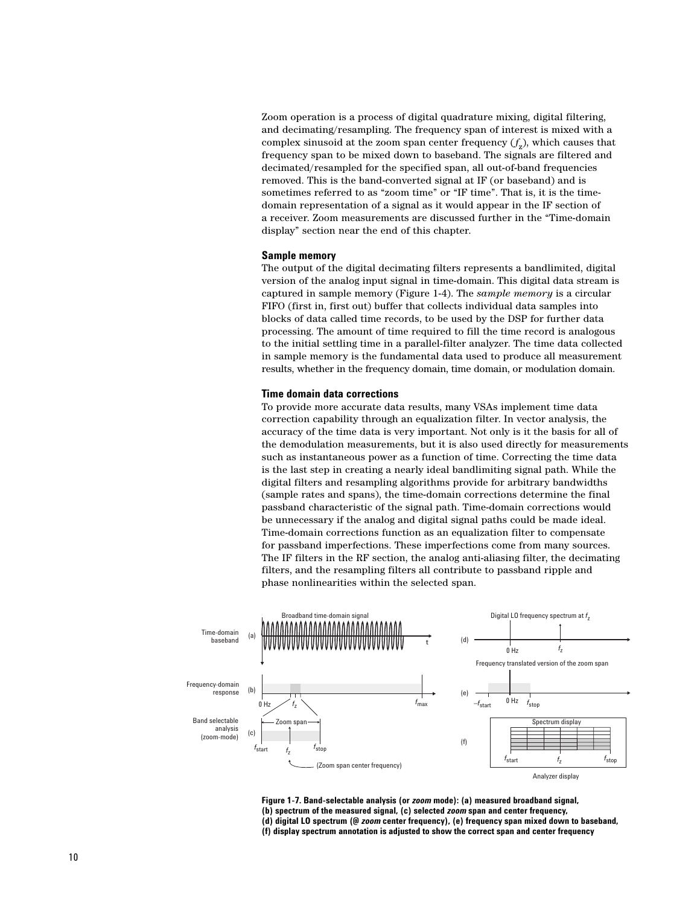Zoom operation is a process of digital quadrature mixing, digital filtering, and decimating/resampling. The frequency span of interest is mixed with a complex sinusoid at the zoom span center frequency  $(f_{\rm z})$ , which causes that frequency span to be mixed down to baseband. The signals are filtered and decimated/resampled for the specified span, all out-of-band frequencies removed. This is the band-converted signal at IF (or baseband) and is sometimes referred to as "zoom time" or "IF time". That is, it is the timedomain representation of a signal as it would appear in the IF section of a receiver. Zoom measurements are discussed further in the "Time-domain display" section near the end of this chapter.

#### **Sample memory**

The output of the digital decimating filters represents a bandlimited, digital version of the analog input signal in time-domain. This digital data stream is captured in sample memory (Figure 1-4). The *sample memory* is a circular FIFO (first in, first out) buffer that collects individual data samples into blocks of data called time records, to be used by the DSP for further data processing. The amount of time required to fill the time record is analogous to the initial settling time in a parallel-filter analyzer. The time data collected in sample memory is the fundamental data used to produce all measurement results, whether in the frequency domain, time domain, or modulation domain.

#### **Time domain data corrections**

To provide more accurate data results, many VSAs implement time data correction capability through an equalization filter. In vector analysis, the accuracy of the time data is very important. Not only is it the basis for all of the demodulation measurements, but it is also used directly for measurements such as instantaneous power as a function of time. Correcting the time data is the last step in creating a nearly ideal bandlimiting signal path. While the digital filters and resampling algorithms provide for arbitrary bandwidths (sample rates and spans), the time-domain corrections determine the final passband characteristic of the signal path. Time-domain corrections would be unnecessary if the analog and digital signal paths could be made ideal. Time-domain corrections function as an equalization filter to compensate for passband imperfections. These imperfections come from many sources. The IF filters in the RF section, the analog anti-aliasing filter, the decimating filters, and the resampling filters all contribute to passband ripple and phase nonlinearities within the selected span.



**Figure 1-7. Band-selectable analysis (or** *zoom* **mode): (a) measured broadband signal, (b) spectrum of the measured signal, (c) selected** *zoom* **span and center frequency, (d) digital LO spectrum (@** *zoom* **center frequency), (e) frequency span mixed down to baseband, (f) display spectrum annotation is adjusted to show the correct span and center frequency**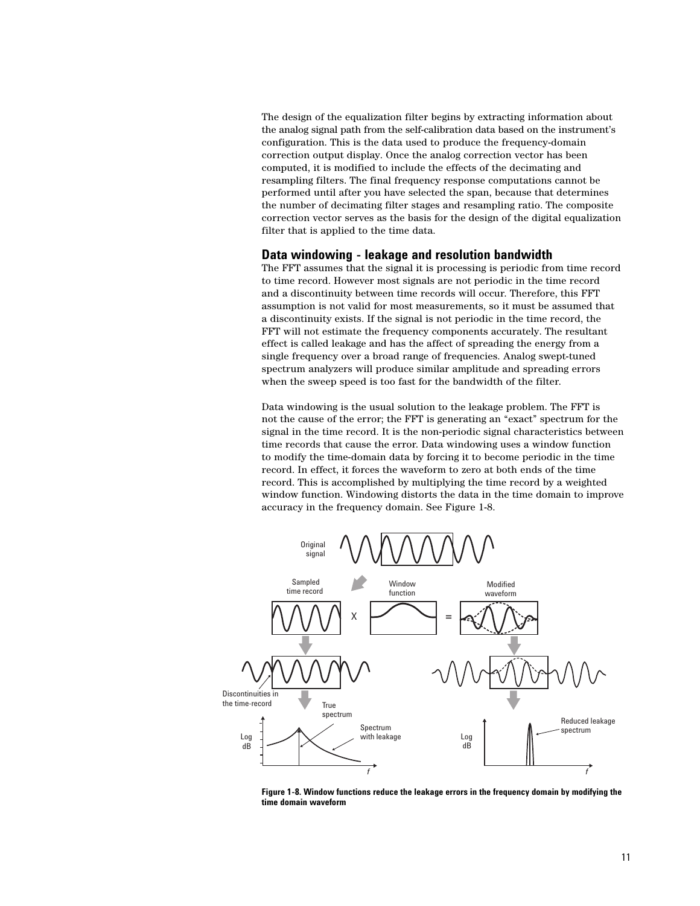The design of the equalization filter begins by extracting information about the analog signal path from the self-calibration data based on the instrument's configuration. This is the data used to produce the frequency-domain correction output display. Once the analog correction vector has been computed, it is modified to include the effects of the decimating and resampling filters. The final frequency response computations cannot be performed until after you have selected the span, because that determines the number of decimating filter stages and resampling ratio. The composite correction vector serves as the basis for the design of the digital equalization filter that is applied to the time data.

# **Data windowing - leakage and resolution bandwidth**

The FFT assumes that the signal it is processing is periodic from time record to time record. However most signals are not periodic in the time record and a discontinuity between time records will occur. Therefore, this FFT assumption is not valid for most measurements, so it must be assumed that a discontinuity exists. If the signal is not periodic in the time record, the FFT will not estimate the frequency components accurately. The resultant effect is called leakage and has the affect of spreading the energy from a single frequency over a broad range of frequencies. Analog swept-tuned spectrum analyzers will produce similar amplitude and spreading errors when the sweep speed is too fast for the bandwidth of the filter.

Data windowing is the usual solution to the leakage problem. The FFT is not the cause of the error; the FFT is generating an "exact" spectrum for the signal in the time record. It is the non-periodic signal characteristics between time records that cause the error. Data windowing uses a window function to modify the time-domain data by forcing it to become periodic in the time record. In effect, it forces the waveform to zero at both ends of the time record. This is accomplished by multiplying the time record by a weighted window function. Windowing distorts the data in the time domain to improve accuracy in the frequency domain. See Figure 1-8.



**Figure 1-8. Window functions reduce the leakage errors in the frequency domain by modifying the time domain waveform**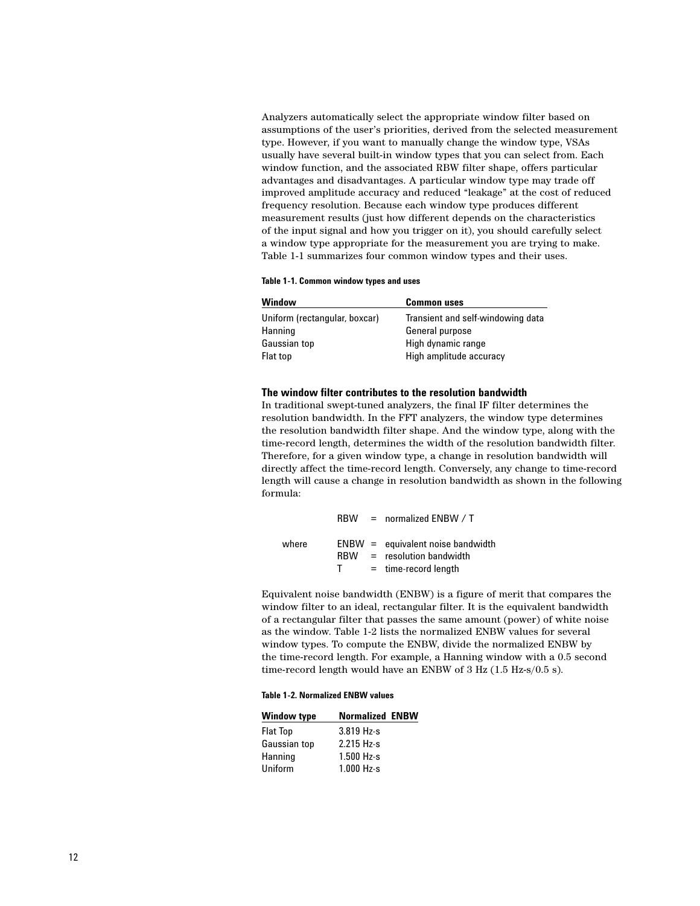Analyzers automatically select the appropriate window filter based on assumptions of the user's priorities, derived from the selected measurement type. However, if you want to manually change the window type, VSAs usually have several built-in window types that you can select from. Each window function, and the associated RBW filter shape, offers particular advantages and disadvantages. A particular window type may trade off improved amplitude accuracy and reduced "leakage" at the cost of reduced frequency resolution. Because each window type produces different measurement results (just how different depends on the characteristics of the input signal and how you trigger on it), you should carefully select a window type appropriate for the measurement you are trying to make. Table 1-1 summarizes four common window types and their uses.

#### **Table 1-1. Common window types and uses**

| Window                        | <b>Common uses</b>                |
|-------------------------------|-----------------------------------|
| Uniform (rectangular, boxcar) | Transient and self-windowing data |
| Hanning                       | General purpose                   |
| Gaussian top                  | High dynamic range                |
| Flat top                      | High amplitude accuracy           |

#### **The window filter contributes to the resolution bandwidth**

In traditional swept-tuned analyzers, the final IF filter determines the resolution bandwidth. In the FFT analyzers, the window type determines the resolution bandwidth filter shape. And the window type, along with the time-record length, determines the width of the resolution bandwidth filter. Therefore, for a given window type, a change in resolution bandwidth will directly affect the time-record length. Conversely, any change to time-record length will cause a change in resolution bandwidth as shown in the following formula:

|       |            | $RBW = normalized ENBW / T$                                     |
|-------|------------|-----------------------------------------------------------------|
| where | <b>RBW</b> | $ENBW =$ equivalent noise bandwidth<br>$=$ resolution bandwidth |
|       |            | $=$ time-record length                                          |

Equivalent noise bandwidth (ENBW) is a figure of merit that compares the window filter to an ideal, rectangular filter. It is the equivalent bandwidth of a rectangular filter that passes the same amount (power) of white noise as the window. Table 1-2 lists the normalized ENBW values for several window types. To compute the ENBW, divide the normalized ENBW by the time-record length. For example, a Hanning window with a 0.5 second time-record length would have an ENBW of 3 Hz (1.5 Hz-s/0.5 s).

#### **Table 1-2. Normalized ENBW values**

| <b>Window type</b> | <b>Normalized ENBW</b> |  |
|--------------------|------------------------|--|
| <b>Flat Top</b>    | 3.819 Hz-s             |  |
| Gaussian top       | 2.215 Hz-s             |  |
| Hanning            | $1.500$ Hz-s           |  |
| Uniform            | $1.000$ Hz-s           |  |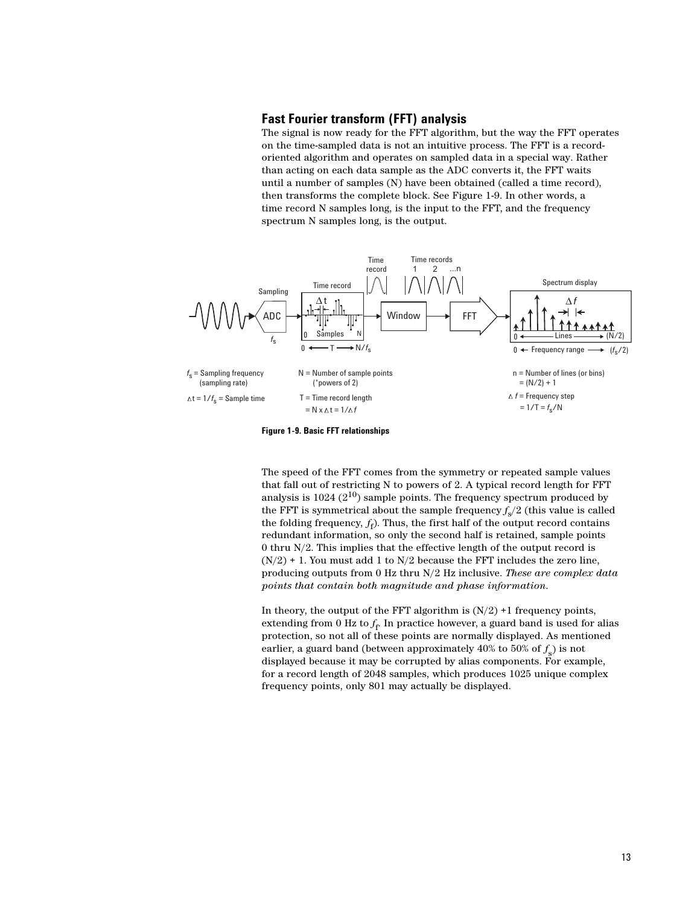# **Fast Fourier transform (FFT) analysis**

The signal is now ready for the FFT algorithm, but the way the FFT operates on the time-sampled data is not an intuitive process. The FFT is a recordoriented algorithm and operates on sampled data in a special way. Rather than acting on each data sample as the ADC converts it, the FFT waits until a number of samples (N) have been obtained (called a time record), then transforms the complete block. See Figure 1-9. In other words, a time record N samples long, is the input to the FFT, and the frequency spectrum N samples long, is the output.





The speed of the FFT comes from the symmetry or repeated sample values that fall out of restricting N to powers of 2. A typical record length for FFT analysis is  $1024 (2<sup>10</sup>)$  sample points. The frequency spectrum produced by the FFT is symmetrical about the sample frequency  $f_{\rm s}/2$  (this value is called the folding frequency,  $f_{\rm f}$ ). Thus, the first half of the output record contains redundant information, so only the second half is retained, sample points 0 thru N/2. This implies that the effective length of the output record is  $(N/2)$  + 1. You must add 1 to  $N/2$  because the FFT includes the zero line, producing outputs from 0 Hz thru N/2 Hz inclusive. *These are complex data points that contain both magnitude and phase information*.

In theory, the output of the FFT algorithm is  $(N/2)$  +1 frequency points, extending from 0 Hz to  $f_{\text{f}}$ . In practice however, a guard band is used for alias protection, so not all of these points are normally displayed. As mentioned earlier, a guard band (between approximately 40% to 50% of *f* s) is not displayed because it may be corrupted by alias components. For example, for a record length of 2048 samples, which produces 1025 unique complex frequency points, only 801 may actually be displayed.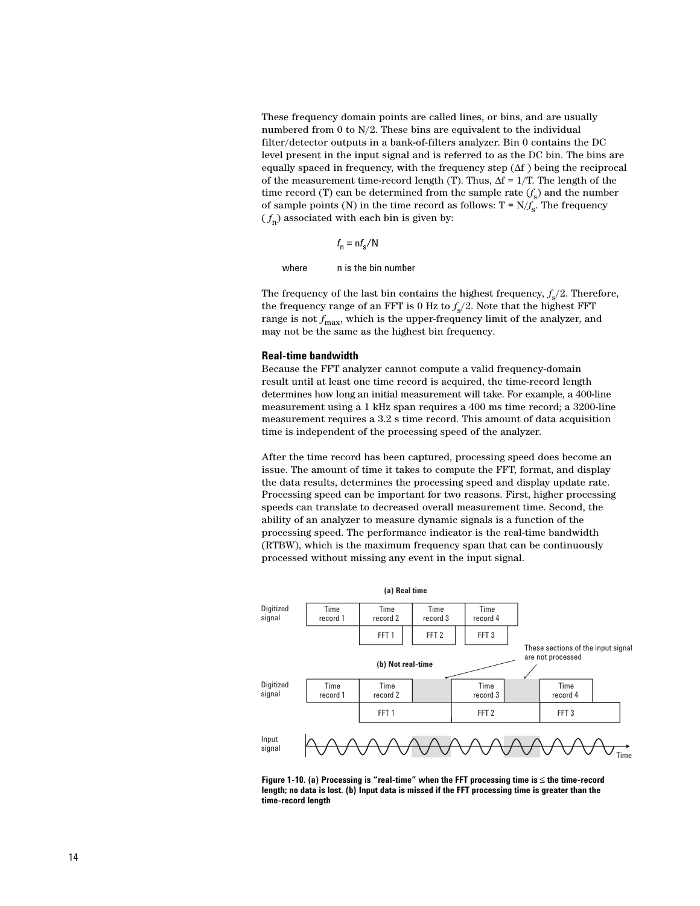These frequency domain points are called lines, or bins, and are usually numbered from 0 to N/2. These bins are equivalent to the individual filter/detector outputs in a bank-of-filters analyzer. Bin 0 contains the DC level present in the input signal and is referred to as the DC bin. The bins are equally spaced in frequency, with the frequency step (∆f ) being the reciprocal of the measurement time-record length (T). Thus,  $\Delta f = 1/T$ . The length of the time record (T) can be determined from the sample rate  $(f_s)$  and the number of sample points (N) in the time record as follows:  $T = N/f_s$ . The frequency  $(f_{\rm n})$  associated with each bin is given by:

$$
f_{\rm n} = {\rm n}f_{\rm s}/{\rm N}
$$

where n is the bin number

The frequency of the last bin contains the highest frequency,  $f_{\rm s}/2$ . Therefore, the frequency range of an FFT is  $0$  Hz to  $f_{\rm s}/2$ . Note that the highest FFT range is not  $f_{\rm max}$ , which is the upper-frequency limit of the analyzer, and may not be the same as the highest bin frequency.

#### **Real-time bandwidth**

Because the FFT analyzer cannot compute a valid frequency-domain result until at least one time record is acquired, the time-record length determines how long an initial measurement will take. For example, a 400-line measurement using a 1 kHz span requires a 400 ms time record; a 3200-line measurement requires a 3.2 s time record. This amount of data acquisition time is independent of the processing speed of the analyzer.

After the time record has been captured, processing speed does become an issue. The amount of time it takes to compute the FFT, format, and display the data results, determines the processing speed and display update rate. Processing speed can be important for two reasons. First, higher processing speeds can translate to decreased overall measurement time. Second, the ability of an analyzer to measure dynamic signals is a function of the processing speed. The performance indicator is the real-time bandwidth (RTBW), which is the maximum frequency span that can be continuously processed without missing any event in the input signal.



**Figure 1-10. (a) Processing is "real-time" when the FFT processing time is** ≤ **the time-record length; no data is lost. (b) Input data is missed if the FFT processing time is greater than the time-record length**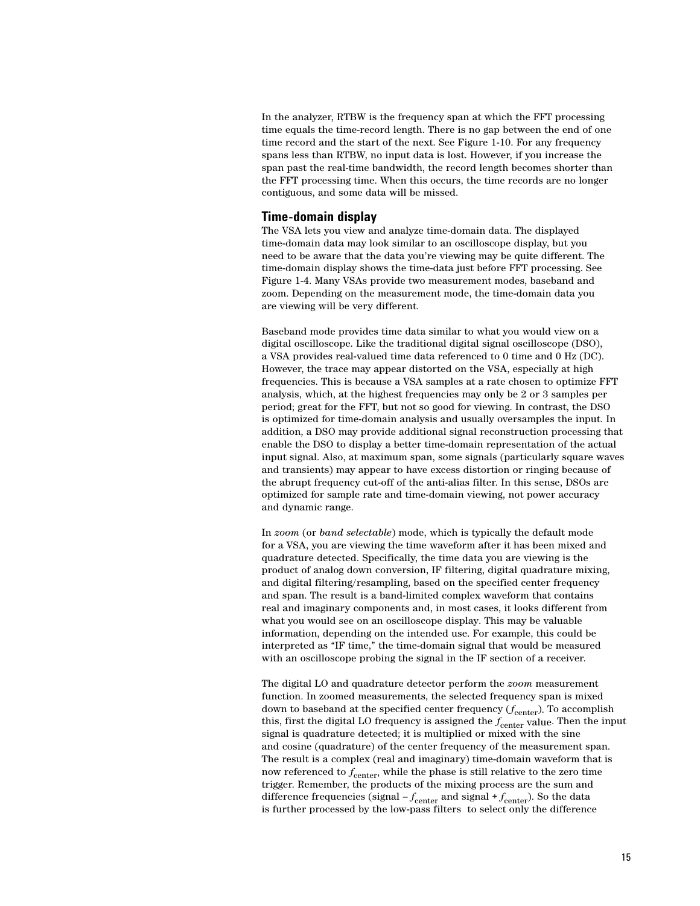In the analyzer, RTBW is the frequency span at which the FFT processing time equals the time-record length. There is no gap between the end of one time record and the start of the next. See Figure 1-10. For any frequency spans less than RTBW, no input data is lost. However, if you increase the span past the real-time bandwidth, the record length becomes shorter than the FFT processing time. When this occurs, the time records are no longer contiguous, and some data will be missed.

#### **Time-domain display**

The VSA lets you view and analyze time-domain data. The displayed time-domain data may look similar to an oscilloscope display, but you need to be aware that the data you're viewing may be quite different. The time-domain display shows the time-data just before FFT processing. See Figure 1-4. Many VSAs provide two measurement modes, baseband and zoom. Depending on the measurement mode, the time-domain data you are viewing will be very different.

Baseband mode provides time data similar to what you would view on a digital oscilloscope. Like the traditional digital signal oscilloscope (DSO), a VSA provides real-valued time data referenced to 0 time and 0 Hz (DC). However, the trace may appear distorted on the VSA, especially at high frequencies. This is because a VSA samples at a rate chosen to optimize FFT analysis, which, at the highest frequencies may only be 2 or 3 samples per period; great for the FFT, but not so good for viewing. In contrast, the DSO is optimized for time-domain analysis and usually oversamples the input. In addition, a DSO may provide additional signal reconstruction processing that enable the DSO to display a better time-domain representation of the actual input signal. Also, at maximum span, some signals (particularly square waves and transients) may appear to have excess distortion or ringing because of the abrupt frequency cut-off of the anti-alias filter. In this sense, DSOs are optimized for sample rate and time-domain viewing, not power accuracy and dynamic range.

In *zoom* (or *band selectable*) mode, which is typically the default mode for a VSA, you are viewing the time waveform after it has been mixed and quadrature detected. Specifically, the time data you are viewing is the product of analog down conversion, IF filtering, digital quadrature mixing, and digital filtering/resampling, based on the specified center frequency and span. The result is a band-limited complex waveform that contains real and imaginary components and, in most cases, it looks different from what you would see on an oscilloscope display. This may be valuable information, depending on the intended use. For example, this could be interpreted as "IF time," the time-domain signal that would be measured with an oscilloscope probing the signal in the IF section of a receiver.

The digital LO and quadrature detector perform the *zoom* measurement function. In zoomed measurements, the selected frequency span is mixed down to baseband at the specified center frequency  $(f_{\rm center}^{\phantom{\dag}})$ . To accomplish this, first the digital LO frequency is assigned the  $f_{\rm center}$  value. Then the input signal is quadrature detected; it is multiplied or mixed with the sine and cosine (quadrature) of the center frequency of the measurement span. The result is a complex (real and imaginary) time-domain waveform that is now referenced to  $f_{\rm center}$  while the phase is still relative to the zero time trigger. Remember, the products of the mixing process are the sum and difference frequencies (signal  $-f_{\text{center}}$  and signal  $+f_{\text{center}}$ ). So the data is further processed by the low-pass filters to select only the difference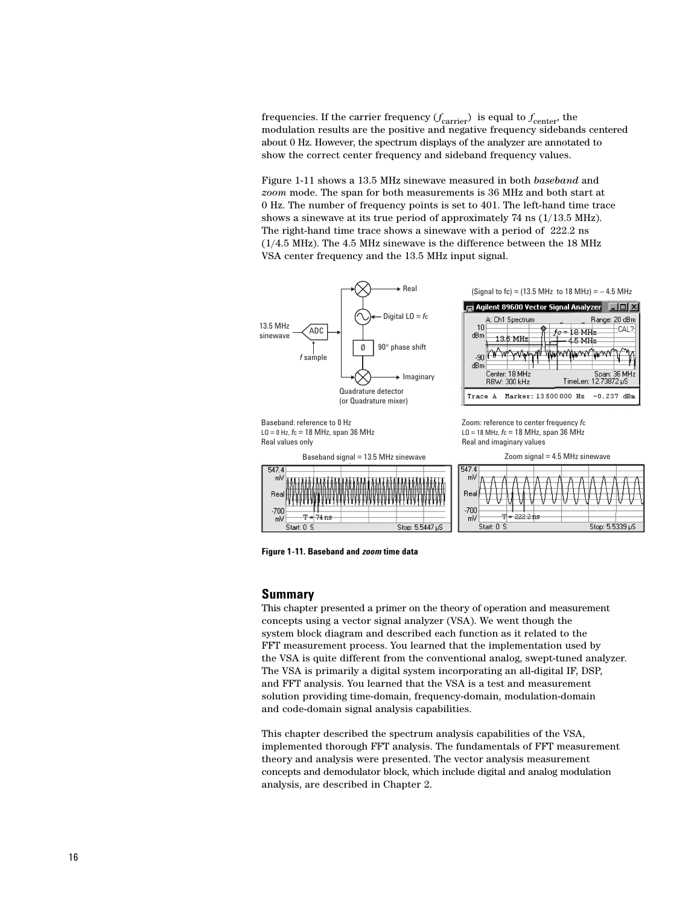frequencies. If the carrier frequency  $(f<sub>carrier</sub>)$  is equal to  $f<sub>center</sub>$ , the modulation results are the positive and negative frequency sidebands centered about 0 Hz. However, the spectrum displays of the analyzer are annotated to show the correct center frequency and sideband frequency values.

Figure 1-11 shows a 13.5 MHz sinewave measured in both *baseband* and *zoom* mode. The span for both measurements is 36 MHz and both start at 0 Hz. The number of frequency points is set to 401. The left-hand time trace shows a sinewave at its true period of approximately 74 ns (1/13.5 MHz). The right-hand time trace shows a sinewave with a period of 222.2 ns (1/4.5 MHz). The 4.5 MHz sinewave is the difference between the 18 MHz VSA center frequency and the 13.5 MHz input signal.



**Figure 1-11. Baseband and** *zoom* **time data**

# **Summary**

This chapter presented a primer on the theory of operation and measurement concepts using a vector signal analyzer (VSA). We went though the system block diagram and described each function as it related to the FFT measurement process. You learned that the implementation used by the VSA is quite different from the conventional analog, swept-tuned analyzer. The VSA is primarily a digital system incorporating an all-digital IF, DSP, and FFT analysis. You learned that the VSA is a test and measurement solution providing time-domain, frequency-domain, modulation-domain and code-domain signal analysis capabilities.

This chapter described the spectrum analysis capabilities of the VSA, implemented thorough FFT analysis. The fundamentals of FFT measurement theory and analysis were presented. The vector analysis measurement concepts and demodulator block, which include digital and analog modulation analysis, are described in Chapter 2.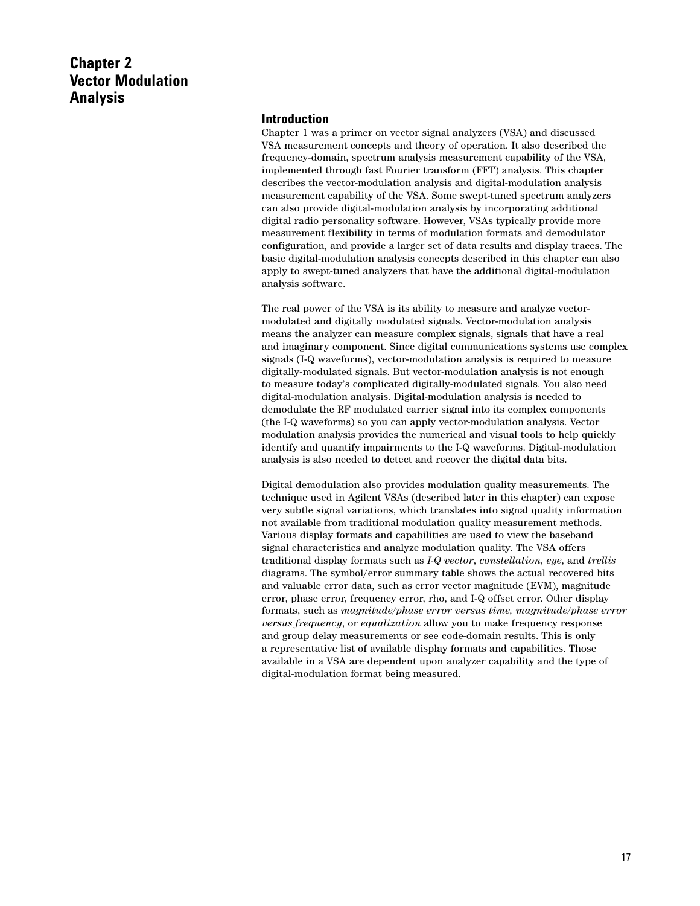# **Chapter 2 Vector Modulation Analysis**

# **Introduction**

Chapter 1 was a primer on vector signal analyzers (VSA) and discussed VSA measurement concepts and theory of operation. It also described the frequency-domain, spectrum analysis measurement capability of the VSA, implemented through fast Fourier transform (FFT) analysis. This chapter describes the vector-modulation analysis and digital-modulation analysis measurement capability of the VSA. Some swept-tuned spectrum analyzers can also provide digital-modulation analysis by incorporating additional digital radio personality software. However, VSAs typically provide more measurement flexibility in terms of modulation formats and demodulator configuration, and provide a larger set of data results and display traces. The basic digital-modulation analysis concepts described in this chapter can also apply to swept-tuned analyzers that have the additional digital-modulation analysis software.

The real power of the VSA is its ability to measure and analyze vectormodulated and digitally modulated signals. Vector-modulation analysis means the analyzer can measure complex signals, signals that have a real and imaginary component. Since digital communications systems use complex signals (I-Q waveforms), vector-modulation analysis is required to measure digitally-modulated signals. But vector-modulation analysis is not enough to measure today's complicated digitally-modulated signals. You also need digital-modulation analysis. Digital-modulation analysis is needed to demodulate the RF modulated carrier signal into its complex components (the I-Q waveforms) so you can apply vector-modulation analysis. Vector modulation analysis provides the numerical and visual tools to help quickly identify and quantify impairments to the I-Q waveforms. Digital-modulation analysis is also needed to detect and recover the digital data bits.

Digital demodulation also provides modulation quality measurements. The technique used in Agilent VSAs (described later in this chapter) can expose very subtle signal variations, which translates into signal quality information not available from traditional modulation quality measurement methods. Various display formats and capabilities are used to view the baseband signal characteristics and analyze modulation quality. The VSA offers traditional display formats such as *I-Q vector*, *constellation*, *eye*, and *trellis* diagrams. The symbol/error summary table shows the actual recovered bits and valuable error data, such as error vector magnitude (EVM), magnitude error, phase error, frequency error, rho, and I-Q offset error. Other display formats, such as *magnitude/phase error versus time, magnitude/phase error versus frequency*, or *equalization* allow you to make frequency response and group delay measurements or see code-domain results. This is only a representative list of available display formats and capabilities. Those available in a VSA are dependent upon analyzer capability and the type of digital-modulation format being measured.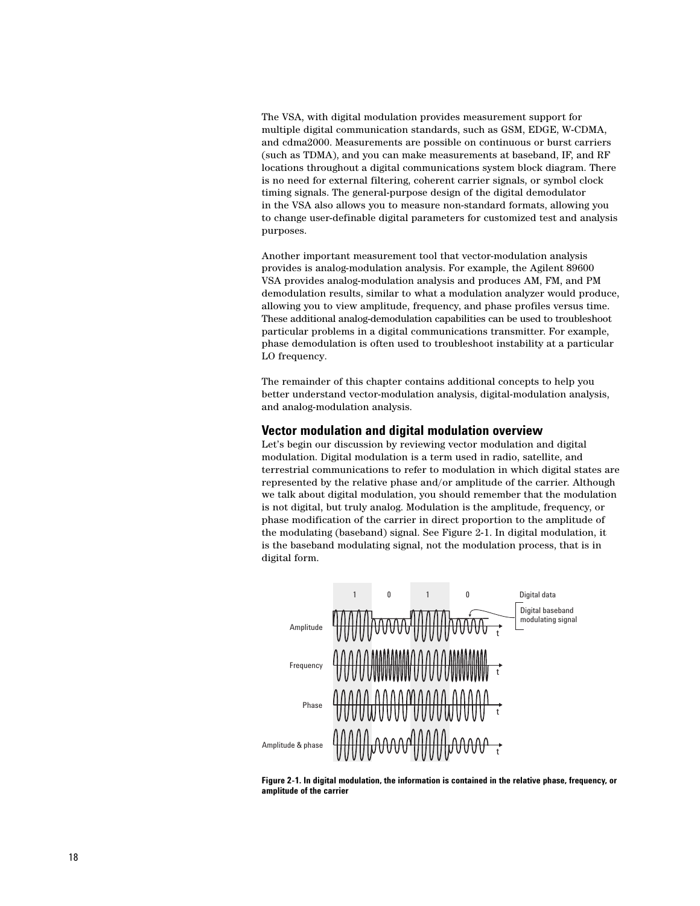The VSA, with digital modulation provides measurement support for multiple digital communication standards, such as GSM, EDGE, W-CDMA, and cdma2000. Measurements are possible on continuous or burst carriers (such as TDMA), and you can make measurements at baseband, IF, and RF locations throughout a digital communications system block diagram. There is no need for external filtering, coherent carrier signals, or symbol clock timing signals. The general-purpose design of the digital demodulator in the VSA also allows you to measure non-standard formats, allowing you to change user-definable digital parameters for customized test and analysis purposes.

Another important measurement tool that vector-modulation analysis provides is analog-modulation analysis. For example, the Agilent 89600 VSA provides analog-modulation analysis and produces AM, FM, and PM demodulation results, similar to what a modulation analyzer would produce, allowing you to view amplitude, frequency, and phase profiles versus time. These additional analog-demodulation capabilities can be used to troubleshoot particular problems in a digital communications transmitter. For example, phase demodulation is often used to troubleshoot instability at a particular LO frequency.

The remainder of this chapter contains additional concepts to help you better understand vector-modulation analysis, digital-modulation analysis, and analog-modulation analysis.

#### **Vector modulation and digital modulation overview**

Let's begin our discussion by reviewing vector modulation and digital modulation. Digital modulation is a term used in radio, satellite, and terrestrial communications to refer to modulation in which digital states are represented by the relative phase and/or amplitude of the carrier. Although we talk about digital modulation, you should remember that the modulation is not digital, but truly analog. Modulation is the amplitude, frequency, or phase modification of the carrier in direct proportion to the amplitude of the modulating (baseband) signal. See Figure 2-1. In digital modulation, it is the baseband modulating signal, not the modulation process, that is in digital form.



**Figure 2-1. In digital modulation, the information is contained in the relative phase, frequency, or amplitude of the carrier**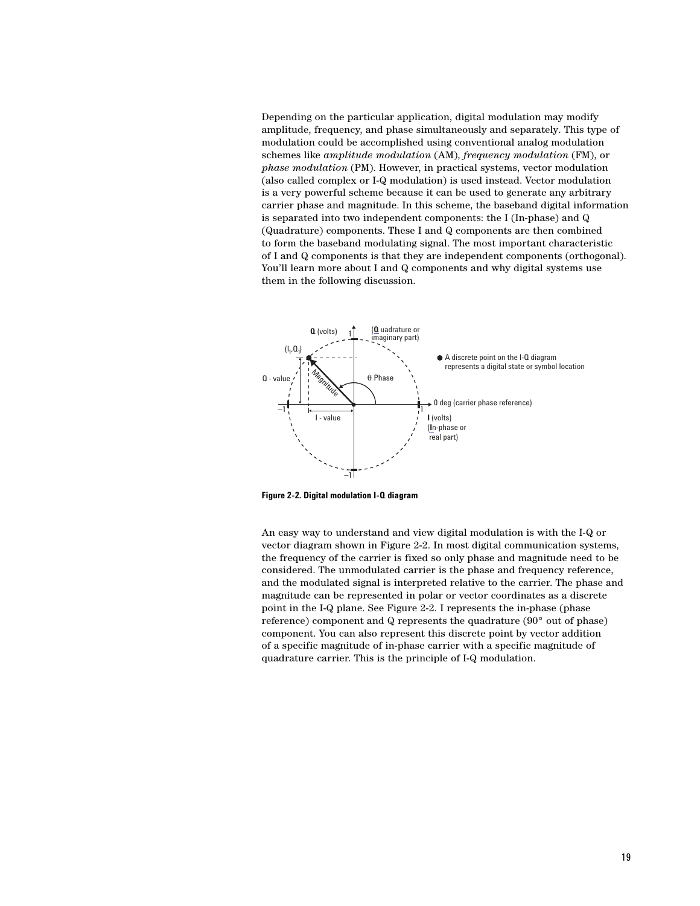Depending on the particular application, digital modulation may modify amplitude, frequency, and phase simultaneously and separately. This type of modulation could be accomplished using conventional analog modulation schemes like *amplitude modulation* (AM), *frequency modulation* (FM), or *phase modulation* (PM). However, in practical systems, vector modulation (also called complex or I-Q modulation) is used instead. Vector modulation is a very powerful scheme because it can be used to generate any arbitrary carrier phase and magnitude. In this scheme, the baseband digital information is separated into two independent components: the I (In-phase) and Q (Quadrature) components. These I and Q components are then combined to form the baseband modulating signal. The most important characteristic of I and Q components is that they are independent components (orthogonal). You'll learn more about I and Q components and why digital systems use them in the following discussion.



**Figure 2-2. Digital modulation I-Q diagram**

An easy way to understand and view digital modulation is with the I-Q or vector diagram shown in Figure 2-2. In most digital communication systems, the frequency of the carrier is fixed so only phase and magnitude need to be considered. The unmodulated carrier is the phase and frequency reference, and the modulated signal is interpreted relative to the carrier. The phase and magnitude can be represented in polar or vector coordinates as a discrete point in the I-Q plane. See Figure 2-2. I represents the in-phase (phase reference) component and Q represents the quadrature (90° out of phase) component. You can also represent this discrete point by vector addition of a specific magnitude of in-phase carrier with a specific magnitude of quadrature carrier. This is the principle of I-Q modulation.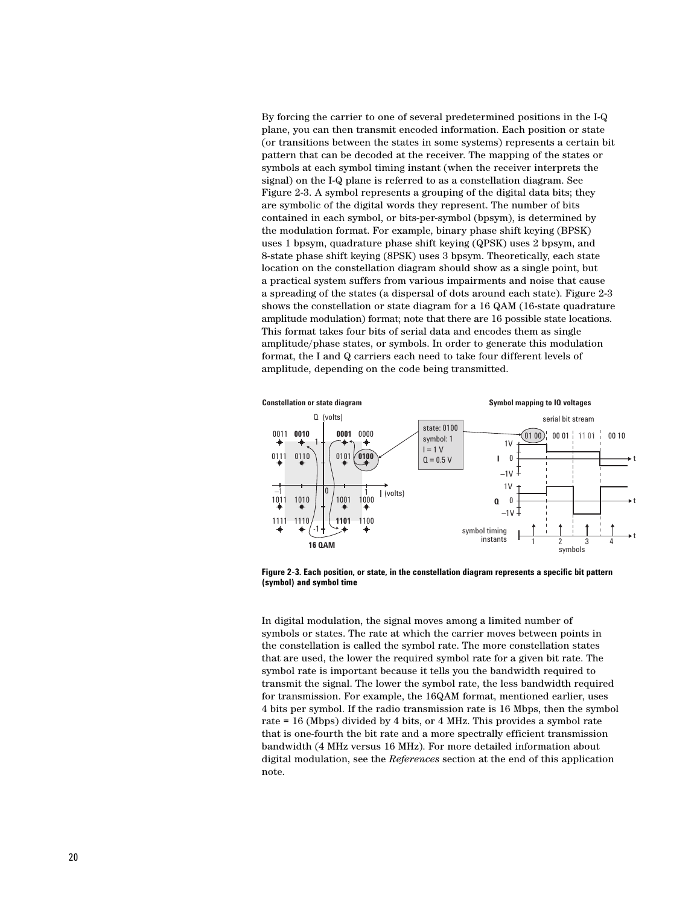By forcing the carrier to one of several predetermined positions in the I-Q plane, you can then transmit encoded information. Each position or state (or transitions between the states in some systems) represents a certain bit pattern that can be decoded at the receiver. The mapping of the states or symbols at each symbol timing instant (when the receiver interprets the signal) on the I-Q plane is referred to as a constellation diagram. See Figure 2-3. A symbol represents a grouping of the digital data bits; they are symbolic of the digital words they represent. The number of bits contained in each symbol, or bits-per-symbol (bpsym), is determined by the modulation format. For example, binary phase shift keying (BPSK) uses 1 bpsym, quadrature phase shift keying (QPSK) uses 2 bpsym, and 8-state phase shift keying (8PSK) uses 3 bpsym. Theoretically, each state location on the constellation diagram should show as a single point, but a practical system suffers from various impairments and noise that cause a spreading of the states (a dispersal of dots around each state). Figure 2-3 shows the constellation or state diagram for a 16 QAM (16-state quadrature amplitude modulation) format; note that there are 16 possible state locations. This format takes four bits of serial data and encodes them as single amplitude/phase states, or symbols. In order to generate this modulation format, the I and Q carriers each need to take four different levels of amplitude, depending on the code being transmitted.



**Figure 2-3. Each position, or state, in the constellation diagram represents a specific bit pattern (symbol) and symbol time**

In digital modulation, the signal moves among a limited number of symbols or states. The rate at which the carrier moves between points in the constellation is called the symbol rate. The more constellation states that are used, the lower the required symbol rate for a given bit rate. The symbol rate is important because it tells you the bandwidth required to transmit the signal. The lower the symbol rate, the less bandwidth required for transmission. For example, the 16QAM format, mentioned earlier, uses 4 bits per symbol. If the radio transmission rate is 16 Mbps, then the symbol rate = 16 (Mbps) divided by 4 bits, or 4 MHz. This provides a symbol rate that is one-fourth the bit rate and a more spectrally efficient transmission bandwidth (4 MHz versus 16 MHz). For more detailed information about digital modulation, see the *References* section at the end of this application note.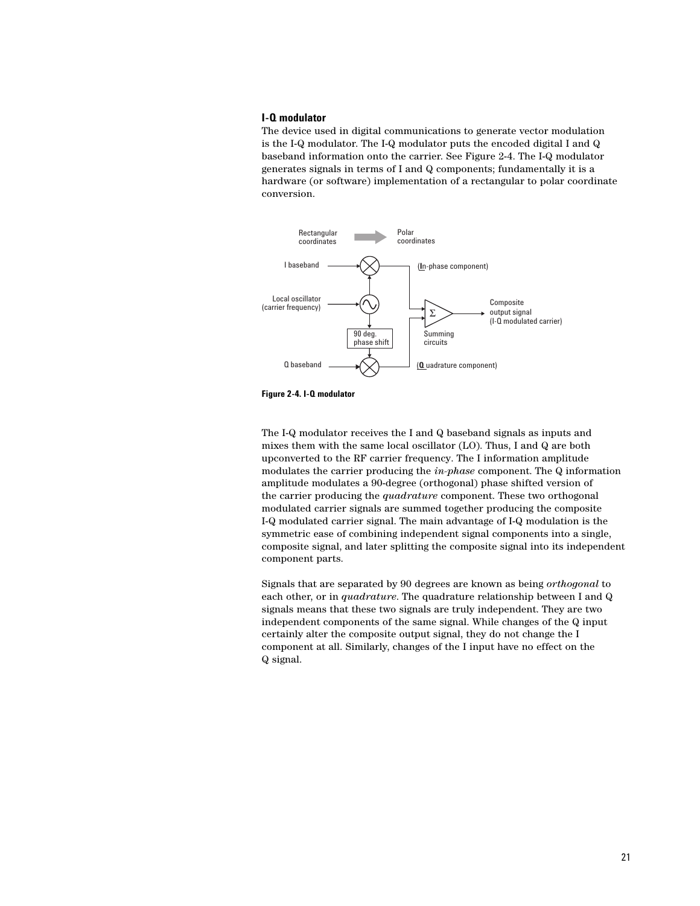#### **I-Q modulator**

The device used in digital communications to generate vector modulation is the I-Q modulator. The I-Q modulator puts the encoded digital I and Q baseband information onto the carrier. See Figure 2-4. The I-Q modulator generates signals in terms of I and Q components; fundamentally it is a hardware (or software) implementation of a rectangular to polar coordinate conversion.



**Figure 2-4. I-Q modulator**

The I-Q modulator receives the I and Q baseband signals as inputs and mixes them with the same local oscillator (LO). Thus, I and Q are both upconverted to the RF carrier frequency. The I information amplitude modulates the carrier producing the *in-phase* component. The Q information amplitude modulates a 90-degree (orthogonal) phase shifted version of the carrier producing the *quadrature* component. These two orthogonal modulated carrier signals are summed together producing the composite I-Q modulated carrier signal. The main advantage of I-Q modulation is the symmetric ease of combining independent signal components into a single, composite signal, and later splitting the composite signal into its independent component parts.

Signals that are separated by 90 degrees are known as being *orthogonal* to each other, or in *quadrature*. The quadrature relationship between I and Q signals means that these two signals are truly independent. They are two independent components of the same signal. While changes of the Q input certainly alter the composite output signal, they do not change the I component at all. Similarly, changes of the I input have no effect on the Q signal.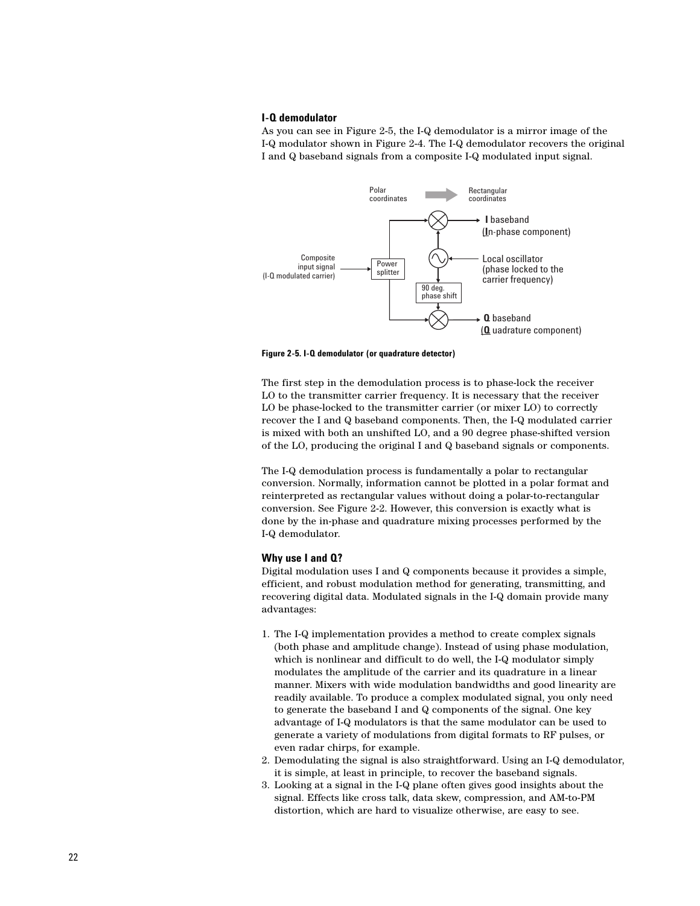#### **I-Q demodulator**

As you can see in Figure 2-5, the I-Q demodulator is a mirror image of the I-Q modulator shown in Figure 2-4. The I-Q demodulator recovers the original I and Q baseband signals from a composite I-Q modulated input signal.



**Figure 2-5. I-Q demodulator (or quadrature detector)**

The first step in the demodulation process is to phase-lock the receiver LO to the transmitter carrier frequency. It is necessary that the receiver LO be phase-locked to the transmitter carrier (or mixer LO) to correctly recover the I and Q baseband components. Then, the I-Q modulated carrier is mixed with both an unshifted LO, and a 90 degree phase-shifted version of the LO, producing the original I and Q baseband signals or components.

The I-Q demodulation process is fundamentally a polar to rectangular conversion. Normally, information cannot be plotted in a polar format and reinterpreted as rectangular values without doing a polar-to-rectangular conversion. See Figure 2-2. However, this conversion is exactly what is done by the in-phase and quadrature mixing processes performed by the I-Q demodulator.

#### **Why use I and Q?**

Digital modulation uses I and Q components because it provides a simple, efficient, and robust modulation method for generating, transmitting, and recovering digital data. Modulated signals in the I-Q domain provide many advantages:

- 1. The I-Q implementation provides a method to create complex signals (both phase and amplitude change). Instead of using phase modulation, which is nonlinear and difficult to do well, the I-Q modulator simply modulates the amplitude of the carrier and its quadrature in a linear manner. Mixers with wide modulation bandwidths and good linearity are readily available. To produce a complex modulated signal, you only need to generate the baseband I and Q components of the signal. One key advantage of I-Q modulators is that the same modulator can be used to generate a variety of modulations from digital formats to RF pulses, or even radar chirps, for example.
- 2. Demodulating the signal is also straightforward. Using an I-Q demodulator, it is simple, at least in principle, to recover the baseband signals.
- 3. Looking at a signal in the I-Q plane often gives good insights about the signal. Effects like cross talk, data skew, compression, and AM-to-PM distortion, which are hard to visualize otherwise, are easy to see.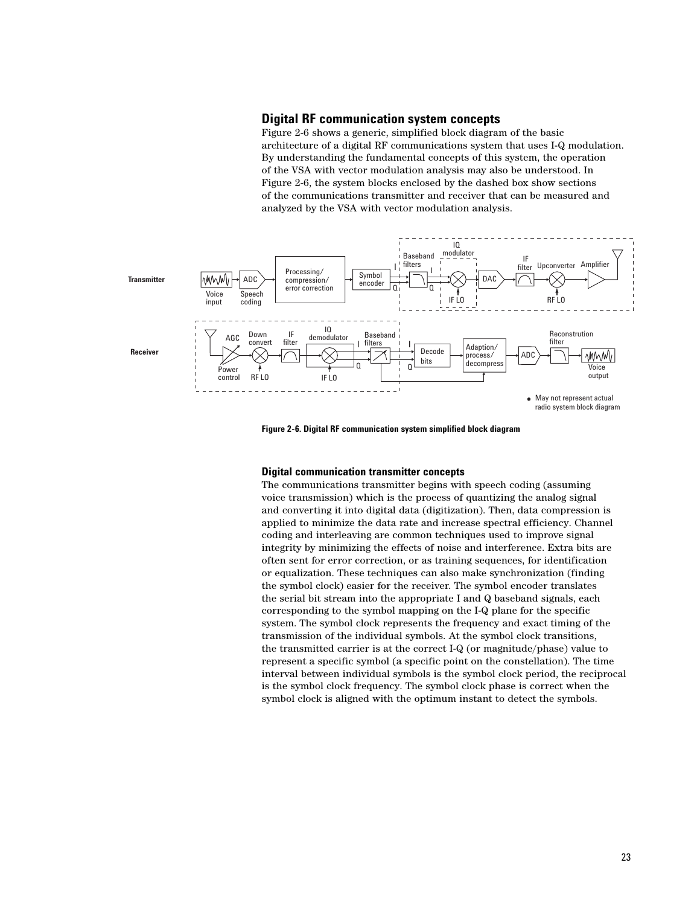# **Digital RF communication system concepts**

Figure 2-6 shows a generic, simplified block diagram of the basic architecture of a digital RF communications system that uses I-Q modulation. By understanding the fundamental concepts of this system, the operation of the VSA with vector modulation analysis may also be understood. In Figure 2-6, the system blocks enclosed by the dashed box show sections of the communications transmitter and receiver that can be measured and analyzed by the VSA with vector modulation analysis.



**Figure 2-6. Digital RF communication system simplified block diagram**

#### **Digital communication transmitter concepts**

The communications transmitter begins with speech coding (assuming voice transmission) which is the process of quantizing the analog signal and converting it into digital data (digitization). Then, data compression is applied to minimize the data rate and increase spectral efficiency. Channel coding and interleaving are common techniques used to improve signal integrity by minimizing the effects of noise and interference. Extra bits are often sent for error correction, or as training sequences, for identification or equalization. These techniques can also make synchronization (finding the symbol clock) easier for the receiver. The symbol encoder translates the serial bit stream into the appropriate I and Q baseband signals, each corresponding to the symbol mapping on the I-Q plane for the specific system. The symbol clock represents the frequency and exact timing of the transmission of the individual symbols. At the symbol clock transitions, the transmitted carrier is at the correct I-Q (or magnitude/phase) value to represent a specific symbol (a specific point on the constellation). The time interval between individual symbols is the symbol clock period, the reciprocal is the symbol clock frequency. The symbol clock phase is correct when the symbol clock is aligned with the optimum instant to detect the symbols.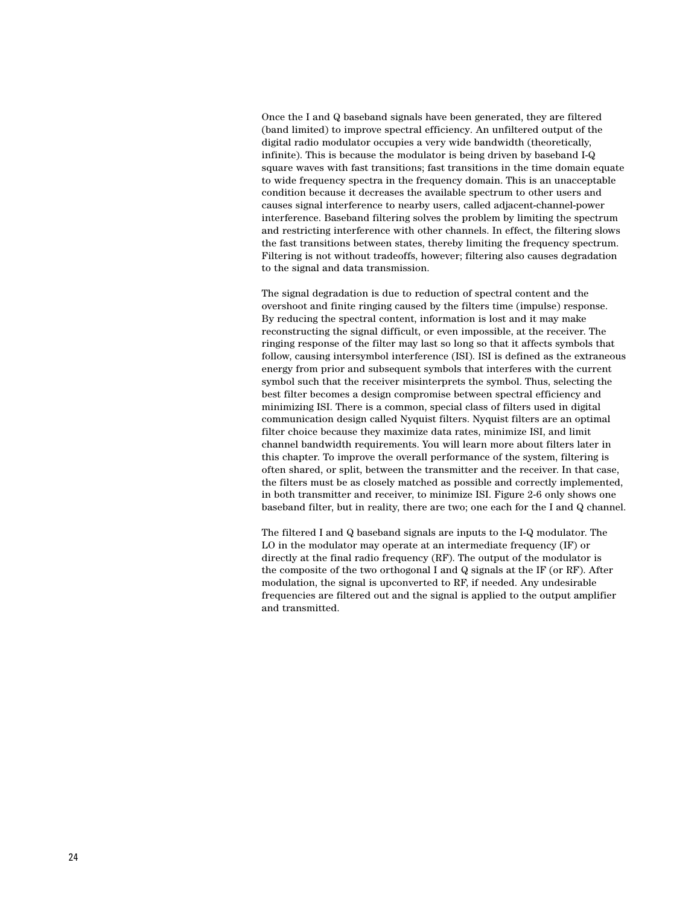Once the I and Q baseband signals have been generated, they are filtered (band limited) to improve spectral efficiency. An unfiltered output of the digital radio modulator occupies a very wide bandwidth (theoretically, infinite). This is because the modulator is being driven by baseband I-Q square waves with fast transitions; fast transitions in the time domain equate to wide frequency spectra in the frequency domain. This is an unacceptable condition because it decreases the available spectrum to other users and causes signal interference to nearby users, called adjacent-channel-power interference. Baseband filtering solves the problem by limiting the spectrum and restricting interference with other channels. In effect, the filtering slows the fast transitions between states, thereby limiting the frequency spectrum. Filtering is not without tradeoffs, however; filtering also causes degradation to the signal and data transmission.

The signal degradation is due to reduction of spectral content and the overshoot and finite ringing caused by the filters time (impulse) response. By reducing the spectral content, information is lost and it may make reconstructing the signal difficult, or even impossible, at the receiver. The ringing response of the filter may last so long so that it affects symbols that follow, causing intersymbol interference (ISI). ISI is defined as the extraneous energy from prior and subsequent symbols that interferes with the current symbol such that the receiver misinterprets the symbol. Thus, selecting the best filter becomes a design compromise between spectral efficiency and minimizing ISI. There is a common, special class of filters used in digital communication design called Nyquist filters. Nyquist filters are an optimal filter choice because they maximize data rates, minimize ISI, and limit channel bandwidth requirements. You will learn more about filters later in this chapter. To improve the overall performance of the system, filtering is often shared, or split, between the transmitter and the receiver. In that case, the filters must be as closely matched as possible and correctly implemented, in both transmitter and receiver, to minimize ISI. Figure 2-6 only shows one baseband filter, but in reality, there are two; one each for the I and Q channel.

The filtered I and Q baseband signals are inputs to the I-Q modulator. The LO in the modulator may operate at an intermediate frequency (IF) or directly at the final radio frequency (RF). The output of the modulator is the composite of the two orthogonal I and Q signals at the IF (or RF). After modulation, the signal is upconverted to RF, if needed. Any undesirable frequencies are filtered out and the signal is applied to the output amplifier and transmitted.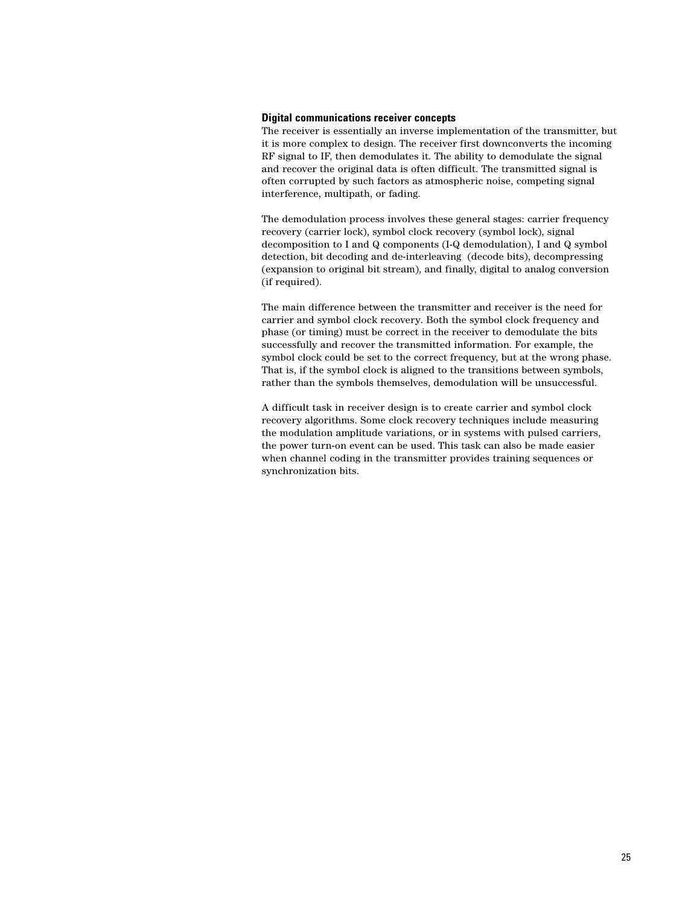#### **Digital communications receiver concepts**

The receiver is essentially an inverse implementation of the transmitter, but it is more complex to design. The receiver first downconverts the incoming RF signal to IF, then demodulates it. The ability to demodulate the signal and recover the original data is often difficult. The transmitted signal is often corrupted by such factors as atmospheric noise, competing signal interference, multipath, or fading.

The demodulation process involves these general stages: carrier frequency recovery (carrier lock), symbol clock recovery (symbol lock), signal decomposition to I and Q components (I-Q demodulation), I and Q symbol detection, bit decoding and de-interleaving (decode bits), decompressing (expansion to original bit stream), and finally, digital to analog conversion (if required).

The main difference between the transmitter and receiver is the need for carrier and symbol clock recovery. Both the symbol clock frequency and phase (or timing) must be correct in the receiver to demodulate the bits successfully and recover the transmitted information. For example, the symbol clock could be set to the correct frequency, but at the wrong phase. That is, if the symbol clock is aligned to the transitions between symbols, rather than the symbols themselves, demodulation will be unsuccessful.

A difficult task in receiver design is to create carrier and symbol clock recovery algorithms. Some clock recovery techniques include measuring the modulation amplitude variations, or in systems with pulsed carriers, the power turn-on event can be used. This task can also be made easier when channel coding in the transmitter provides training sequences or synchronization bits.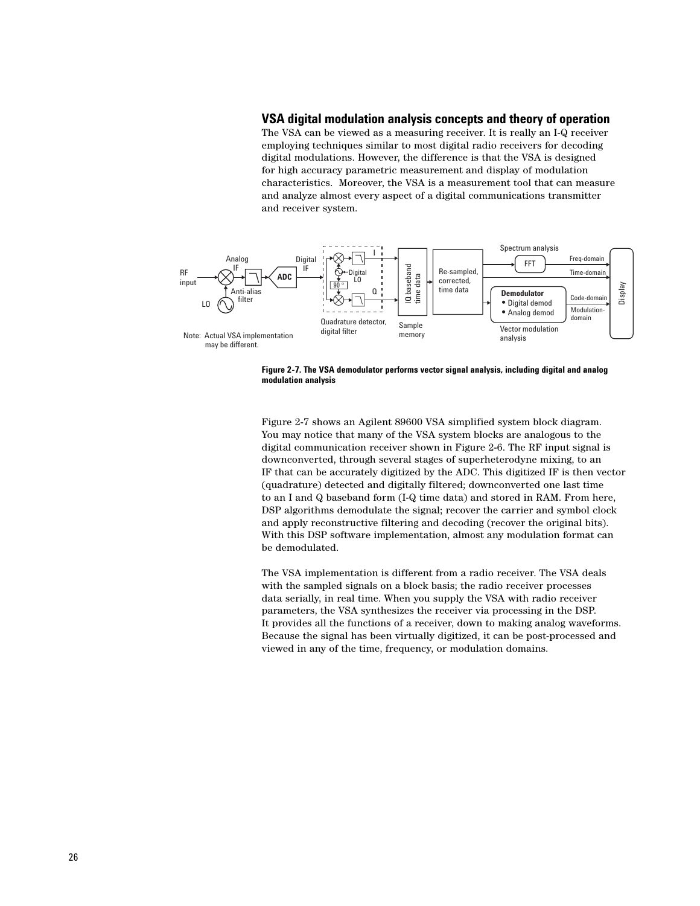# **VSA digital modulation analysis concepts and theory of operation**

The VSA can be viewed as a measuring receiver. It is really an I-Q receiver employing techniques similar to most digital radio receivers for decoding digital modulations. However, the difference is that the VSA is designed for high accuracy parametric measurement and display of modulation characteristics. Moreover, the VSA is a measurement tool that can measure and analyze almost every aspect of a digital communications transmitter and receiver system.





Figure 2-7 shows an Agilent 89600 VSA simplified system block diagram. You may notice that many of the VSA system blocks are analogous to the digital communication receiver shown in Figure 2-6. The RF input signal is downconverted, through several stages of superheterodyne mixing, to an IF that can be accurately digitized by the ADC. This digitized IF is then vector (quadrature) detected and digitally filtered; downconverted one last time to an I and Q baseband form (I-Q time data) and stored in RAM. From here, DSP algorithms demodulate the signal; recover the carrier and symbol clock and apply reconstructive filtering and decoding (recover the original bits). With this DSP software implementation, almost any modulation format can be demodulated.

The VSA implementation is different from a radio receiver. The VSA deals with the sampled signals on a block basis; the radio receiver processes data serially, in real time. When you supply the VSA with radio receiver parameters, the VSA synthesizes the receiver via processing in the DSP. It provides all the functions of a receiver, down to making analog waveforms. Because the signal has been virtually digitized, it can be post-processed and viewed in any of the time, frequency, or modulation domains.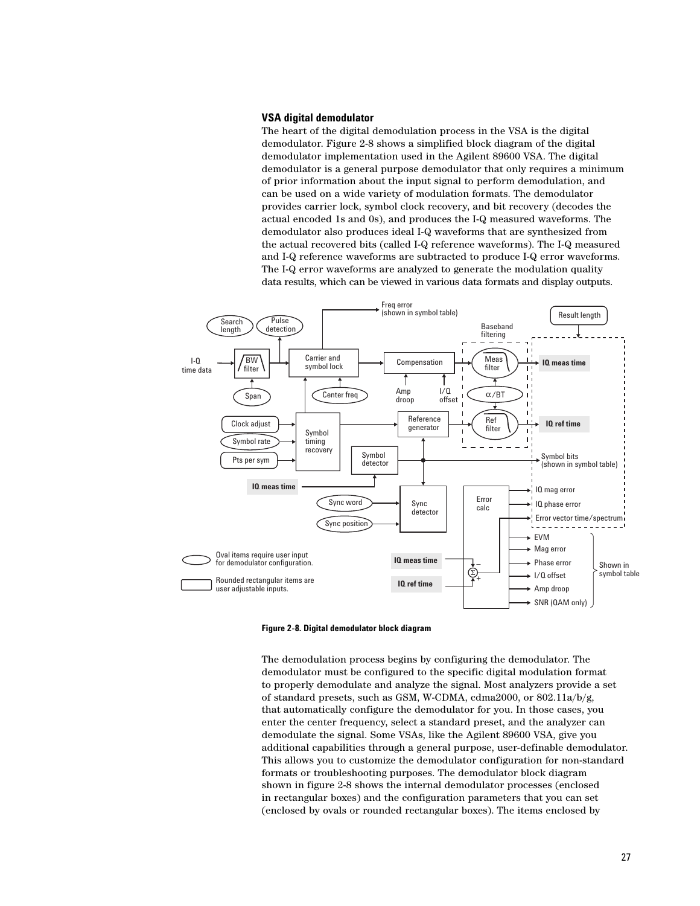#### **VSA digital demodulator**

The heart of the digital demodulation process in the VSA is the digital demodulator. Figure 2-8 shows a simplified block diagram of the digital demodulator implementation used in the Agilent 89600 VSA. The digital demodulator is a general purpose demodulator that only requires a minimum of prior information about the input signal to perform demodulation, and can be used on a wide variety of modulation formats. The demodulator provides carrier lock, symbol clock recovery, and bit recovery (decodes the actual encoded 1s and 0s), and produces the I-Q measured waveforms. The demodulator also produces ideal I-Q waveforms that are synthesized from the actual recovered bits (called I-Q reference waveforms). The I-Q measured and I-Q reference waveforms are subtracted to produce I-Q error waveforms. The I-Q error waveforms are analyzed to generate the modulation quality data results, which can be viewed in various data formats and display outputs.



**Figure 2-8. Digital demodulator block diagram**

The demodulation process begins by configuring the demodulator. The demodulator must be configured to the specific digital modulation format to properly demodulate and analyze the signal. Most analyzers provide a set of standard presets, such as GSM, W-CDMA, cdma2000, or 802.11a/b/g, that automatically configure the demodulator for you. In those cases, you enter the center frequency, select a standard preset, and the analyzer can demodulate the signal. Some VSAs, like the Agilent 89600 VSA, give you additional capabilities through a general purpose, user-definable demodulator. This allows you to customize the demodulator configuration for non-standard formats or troubleshooting purposes. The demodulator block diagram shown in figure 2-8 shows the internal demodulator processes (enclosed in rectangular boxes) and the configuration parameters that you can set (enclosed by ovals or rounded rectangular boxes). The items enclosed by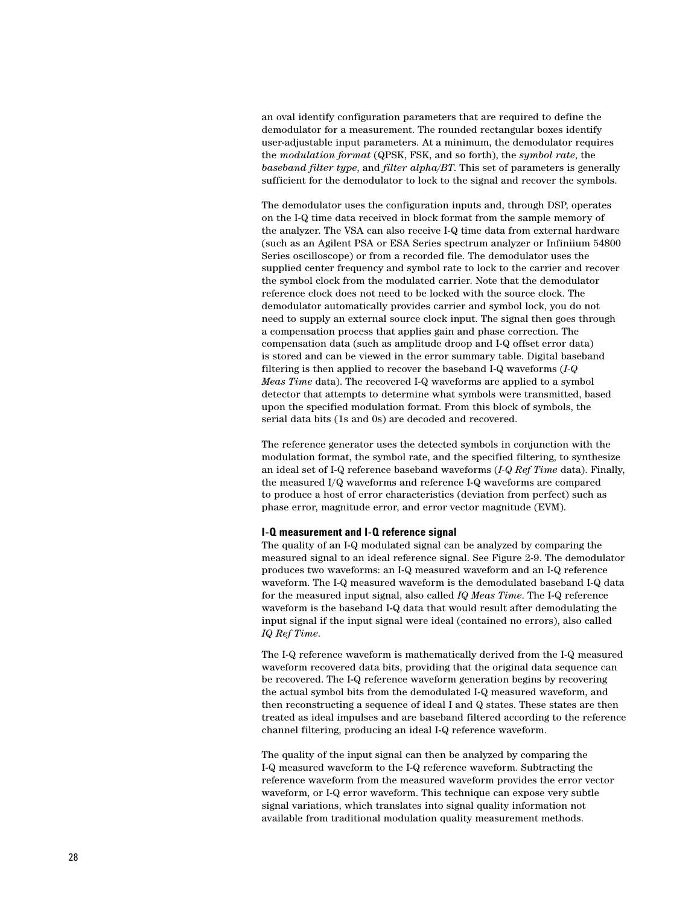an oval identify configuration parameters that are required to define the demodulator for a measurement. The rounded rectangular boxes identify user-adjustable input parameters. At a minimum, the demodulator requires the *modulation format* (QPSK, FSK, and so forth), the *symbol rate*, the *baseband filter type*, and *filter alpha/BT*. This set of parameters is generally sufficient for the demodulator to lock to the signal and recover the symbols.

The demodulator uses the configuration inputs and, through DSP, operates on the I-Q time data received in block format from the sample memory of the analyzer. The VSA can also receive I-Q time data from external hardware (such as an Agilent PSA or ESA Series spectrum analyzer or Infiniium 54800 Series oscilloscope) or from a recorded file. The demodulator uses the supplied center frequency and symbol rate to lock to the carrier and recover the symbol clock from the modulated carrier. Note that the demodulator reference clock does not need to be locked with the source clock. The demodulator automatically provides carrier and symbol lock, you do not need to supply an external source clock input. The signal then goes through a compensation process that applies gain and phase correction. The compensation data (such as amplitude droop and I-Q offset error data) is stored and can be viewed in the error summary table. Digital baseband filtering is then applied to recover the baseband I-Q waveforms (*I-Q Meas Time* data). The recovered I-Q waveforms are applied to a symbol detector that attempts to determine what symbols were transmitted, based upon the specified modulation format. From this block of symbols, the serial data bits (1s and 0s) are decoded and recovered.

The reference generator uses the detected symbols in conjunction with the modulation format, the symbol rate, and the specified filtering, to synthesize an ideal set of I-Q reference baseband waveforms (*I-Q Ref Time* data). Finally, the measured I/Q waveforms and reference I-Q waveforms are compared to produce a host of error characteristics (deviation from perfect) such as phase error, magnitude error, and error vector magnitude (EVM).

#### **I-Q measurement and I-Q reference signal**

The quality of an I-Q modulated signal can be analyzed by comparing the measured signal to an ideal reference signal. See Figure 2-9. The demodulator produces two waveforms: an I-Q measured waveform and an I-Q reference waveform. The I-Q measured waveform is the demodulated baseband I-Q data for the measured input signal, also called *IQ Meas Time*. The I-Q reference waveform is the baseband I-Q data that would result after demodulating the input signal if the input signal were ideal (contained no errors), also called *IQ Ref Time*.

The I-Q reference waveform is mathematically derived from the I-Q measured waveform recovered data bits, providing that the original data sequence can be recovered. The I-Q reference waveform generation begins by recovering the actual symbol bits from the demodulated I-Q measured waveform, and then reconstructing a sequence of ideal I and Q states. These states are then treated as ideal impulses and are baseband filtered according to the reference channel filtering, producing an ideal I-Q reference waveform.

The quality of the input signal can then be analyzed by comparing the I-Q measured waveform to the I-Q reference waveform. Subtracting the reference waveform from the measured waveform provides the error vector waveform, or I-Q error waveform. This technique can expose very subtle signal variations, which translates into signal quality information not available from traditional modulation quality measurement methods.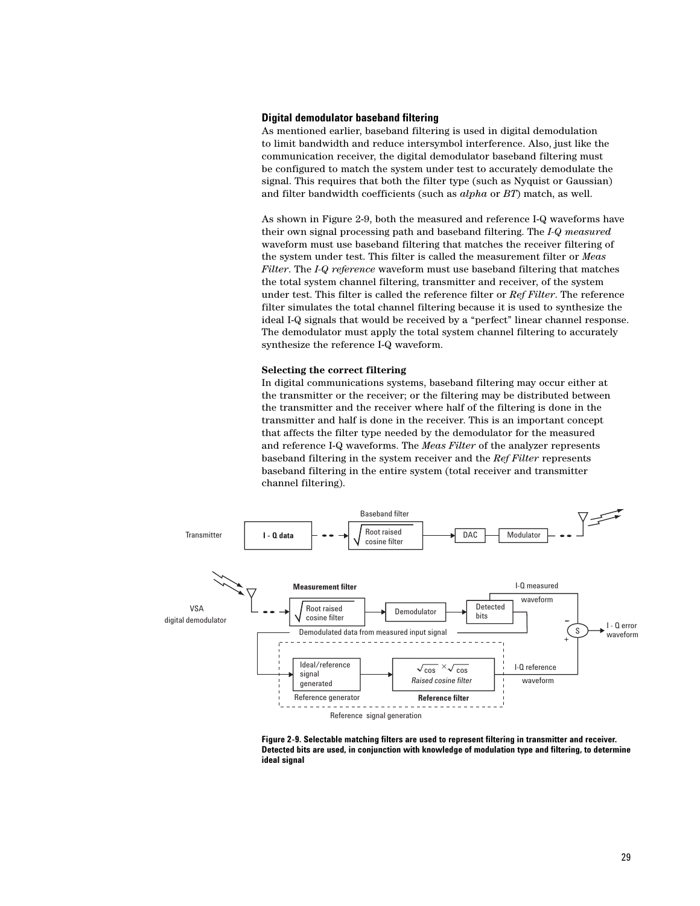#### **Digital demodulator baseband filtering**

As mentioned earlier, baseband filtering is used in digital demodulation to limit bandwidth and reduce intersymbol interference. Also, just like the communication receiver, the digital demodulator baseband filtering must be configured to match the system under test to accurately demodulate the signal. This requires that both the filter type (such as Nyquist or Gaussian) and filter bandwidth coefficients (such as *alpha* or *BT*) match, as well.

As shown in Figure 2-9, both the measured and reference I-Q waveforms have their own signal processing path and baseband filtering. The *I-Q measured* waveform must use baseband filtering that matches the receiver filtering of the system under test. This filter is called the measurement filter or *Meas Filter*. The *I-Q reference* waveform must use baseband filtering that matches the total system channel filtering, transmitter and receiver, of the system under test. This filter is called the reference filter or *Ref Filter*. The reference filter simulates the total channel filtering because it is used to synthesize the ideal I-Q signals that would be received by a "perfect" linear channel response. The demodulator must apply the total system channel filtering to accurately synthesize the reference I-Q waveform.

#### **Selecting the correct filtering**

In digital communications systems, baseband filtering may occur either at the transmitter or the receiver; or the filtering may be distributed between the transmitter and the receiver where half of the filtering is done in the transmitter and half is done in the receiver. This is an important concept that affects the filter type needed by the demodulator for the measured and reference I-Q waveforms. The *Meas Filter* of the analyzer represents baseband filtering in the system receiver and the *Ref Filter* represents baseband filtering in the entire system (total receiver and transmitter channel filtering).



**Figure 2-9. Selectable matching filters are used to represent filtering in transmitter and receiver. Detected bits are used, in conjunction with knowledge of modulation type and filtering, to determine ideal signal**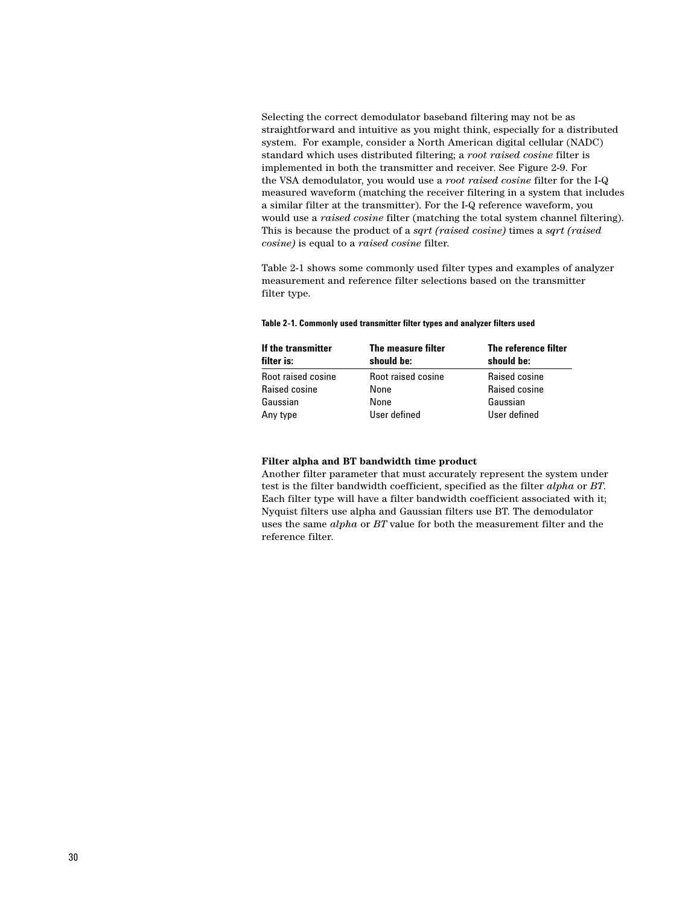Selecting the correct demodulator baseband filtering may not be as straightforward and intuitive as you might think, especially for a distributed system. For example, consider a North American digital cellular (NADC) standard which uses distributed filtering; a *root raised cosine* filter is implemented in both the transmitter and receiver. See Figure 2-9. For the VSA demodulator, you would use a *root raised cosine* filter for the I-Q measured waveform (matching the receiver filtering in a system that includes a similar filter at the transmitter). For the I-Q reference waveform, you would use a *raised cosine* filter (matching the total system channel filtering). This is because the product of a *sqrt (raised cosine)* times a *sqrt (raised cosine)* is equal to a *raised cosine* filter.

Table 2-1 shows some commonly used filter types and examples of analyzer measurement and reference filter selections based on the transmitter filter type.

| If the transmitter<br>filter is: | The measure filter<br>should be: | The reference filter<br>should be: |
|----------------------------------|----------------------------------|------------------------------------|
| Root raised cosine               | Root raised cosine               | Raised cosine                      |
| <b>Raised cosine</b>             | None                             | Raised cosine                      |
| Gaussian                         | None                             | Gaussian                           |
| Any type                         | User defined                     | User defined                       |

# **Table 2-1. Commonly used transmitter filter types and analyzer filters used**

#### **Filter alpha and BT bandwidth time product**

Another filter parameter that must accurately represent the system under test is the filter bandwidth coefficient, specified as the filter *alpha* or *BT*. Each filter type will have a filter bandwidth coefficient associated with it; Nyquist filters use alpha and Gaussian filters use BT. The demodulator uses the same *alpha* or *BT* value for both the measurement filter and the reference filter.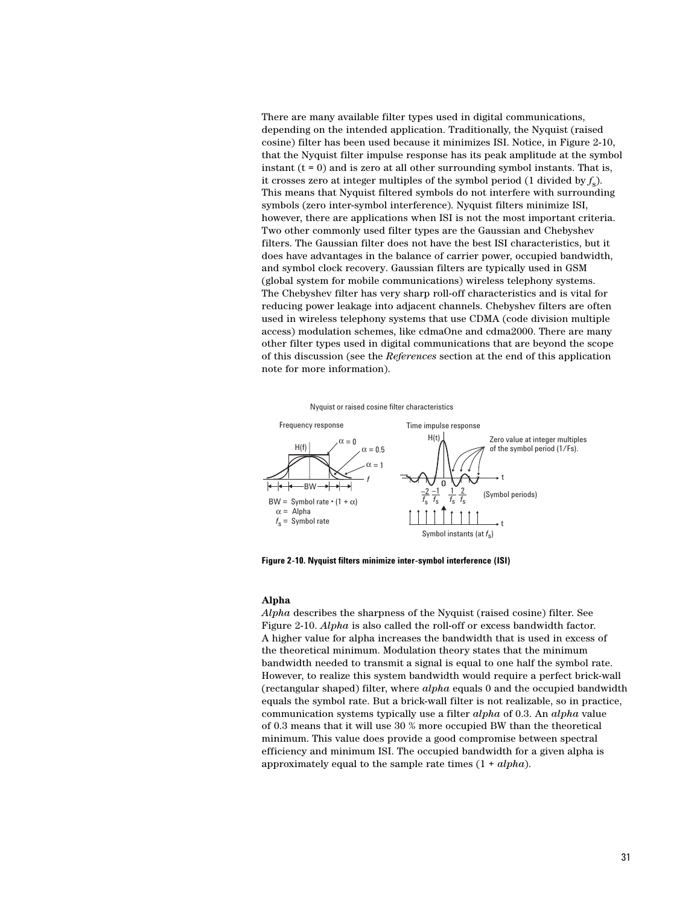There are many available filter types used in digital communications, depending on the intended application. Traditionally, the Nyquist (raised cosine) filter has been used because it minimizes ISI. Notice, in Figure 2-10, that the Nyquist filter impulse response has its peak amplitude at the symbol instant  $(t = 0)$  and is zero at all other surrounding symbol instants. That is, it crosses zero at integer multiples of the symbol period (1 divided by *f* s). This means that Nyquist filtered symbols do not interfere with surrounding symbols (zero inter-symbol interference). Nyquist filters minimize ISI, however, there are applications when ISI is not the most important criteria. Two other commonly used filter types are the Gaussian and Chebyshev filters. The Gaussian filter does not have the best ISI characteristics, but it does have advantages in the balance of carrier power, occupied bandwidth, and symbol clock recovery. Gaussian filters are typically used in GSM (global system for mobile communications) wireless telephony systems. The Chebyshev filter has very sharp roll-off characteristics and is vital for reducing power leakage into adjacent channels. Chebyshev filters are often used in wireless telephony systems that use CDMA (code division multiple access) modulation schemes, like cdmaOne and cdma2000. There are many other filter types used in digital communications that are beyond the scope of this discussion (see the *References* section at the end of this application note for more information).

Nyquist or raised cosine filter characteristics



**Figure 2-10. Nyquist filters minimize inter-symbol interference (ISI)**

#### **Alpha**

*Alpha* describes the sharpness of the Nyquist (raised cosine) filter. See Figure 2-10. *Alpha* is also called the roll-off or excess bandwidth factor. A higher value for alpha increases the bandwidth that is used in excess of the theoretical minimum. Modulation theory states that the minimum bandwidth needed to transmit a signal is equal to one half the symbol rate. However, to realize this system bandwidth would require a perfect brick-wall (rectangular shaped) filter, where *alpha* equals 0 and the occupied bandwidth equals the symbol rate. But a brick-wall filter is not realizable, so in practice, communication systems typically use a filter *alpha* of 0.3. An *alpha* value of 0.3 means that it will use 30 % more occupied BW than the theoretical minimum. This value does provide a good compromise between spectral efficiency and minimum ISI. The occupied bandwidth for a given alpha is approximately equal to the sample rate times (1 + *alpha*).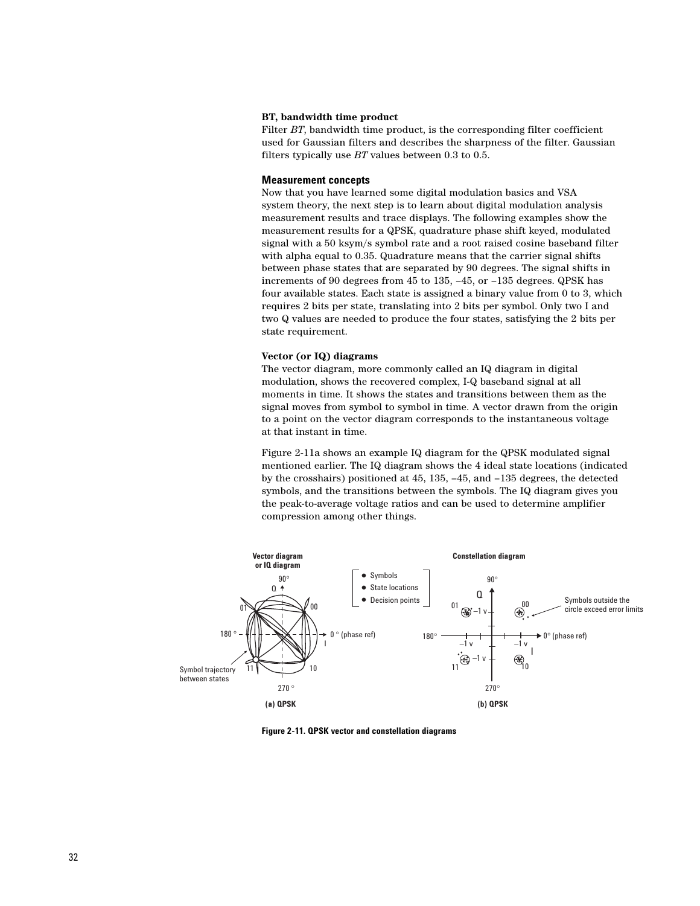#### **BT, bandwidth time product**

Filter *BT*, bandwidth time product, is the corresponding filter coefficient used for Gaussian filters and describes the sharpness of the filter. Gaussian filters typically use *BT* values between 0.3 to 0.5.

#### **Measurement concepts**

Now that you have learned some digital modulation basics and VSA system theory, the next step is to learn about digital modulation analysis measurement results and trace displays. The following examples show the measurement results for a QPSK, quadrature phase shift keyed, modulated signal with a 50 ksym/s symbol rate and a root raised cosine baseband filter with alpha equal to 0.35. Quadrature means that the carrier signal shifts between phase states that are separated by 90 degrees. The signal shifts in increments of 90 degrees from 45 to 135, –45, or –135 degrees. QPSK has four available states. Each state is assigned a binary value from 0 to 3, which requires 2 bits per state, translating into 2 bits per symbol. Only two I and two Q values are needed to produce the four states, satisfying the 2 bits per state requirement.

#### **Vector (or IQ) diagrams**

The vector diagram, more commonly called an IQ diagram in digital modulation, shows the recovered complex, I-Q baseband signal at all moments in time. It shows the states and transitions between them as the signal moves from symbol to symbol in time. A vector drawn from the origin to a point on the vector diagram corresponds to the instantaneous voltage at that instant in time.

Figure 2-11a shows an example IQ diagram for the QPSK modulated signal mentioned earlier. The IQ diagram shows the 4 ideal state locations (indicated by the crosshairs) positioned at 45, 135, –45, and –135 degrees, the detected symbols, and the transitions between the symbols. The IQ diagram gives you the peak-to-average voltage ratios and can be used to determine amplifier compression among other things.



**Figure 2-11. QPSK vector and constellation diagrams**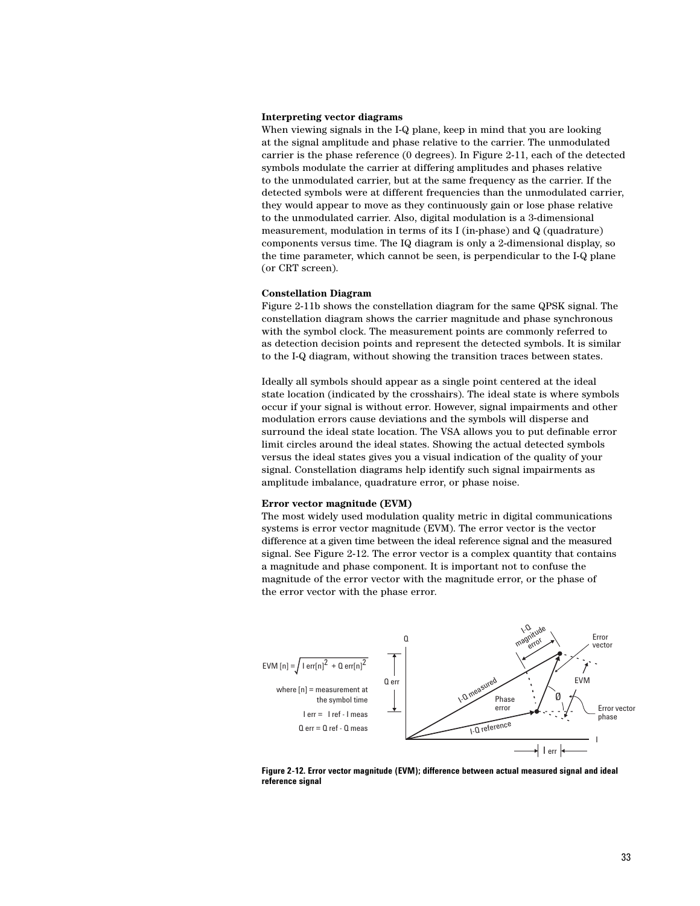#### **Interpreting vector diagrams**

When viewing signals in the I-Q plane, keep in mind that you are looking at the signal amplitude and phase relative to the carrier. The unmodulated carrier is the phase reference (0 degrees). In Figure 2-11, each of the detected symbols modulate the carrier at differing amplitudes and phases relative to the unmodulated carrier, but at the same frequency as the carrier. If the detected symbols were at different frequencies than the unmodulated carrier, they would appear to move as they continuously gain or lose phase relative to the unmodulated carrier. Also, digital modulation is a 3-dimensional measurement, modulation in terms of its I (in-phase) and Q (quadrature) components versus time. The IQ diagram is only a 2-dimensional display, so the time parameter, which cannot be seen, is perpendicular to the I-Q plane (or CRT screen).

#### **Constellation Diagram**

Figure 2-11b shows the constellation diagram for the same QPSK signal. The constellation diagram shows the carrier magnitude and phase synchronous with the symbol clock. The measurement points are commonly referred to as detection decision points and represent the detected symbols. It is similar to the I-Q diagram, without showing the transition traces between states.

Ideally all symbols should appear as a single point centered at the ideal state location (indicated by the crosshairs). The ideal state is where symbols occur if your signal is without error. However, signal impairments and other modulation errors cause deviations and the symbols will disperse and surround the ideal state location. The VSA allows you to put definable error limit circles around the ideal states. Showing the actual detected symbols versus the ideal states gives you a visual indication of the quality of your signal. Constellation diagrams help identify such signal impairments as amplitude imbalance, quadrature error, or phase noise.

#### **Error vector magnitude (EVM)**

The most widely used modulation quality metric in digital communications systems is error vector magnitude (EVM). The error vector is the vector difference at a given time between the ideal reference signal and the measured signal. See Figure 2-12. The error vector is a complex quantity that contains a magnitude and phase component. It is important not to confuse the magnitude of the error vector with the magnitude error, or the phase of the error vector with the phase error.



**Figure 2-12. Error vector magnitude (EVM); difference between actual measured signal and ideal reference signal**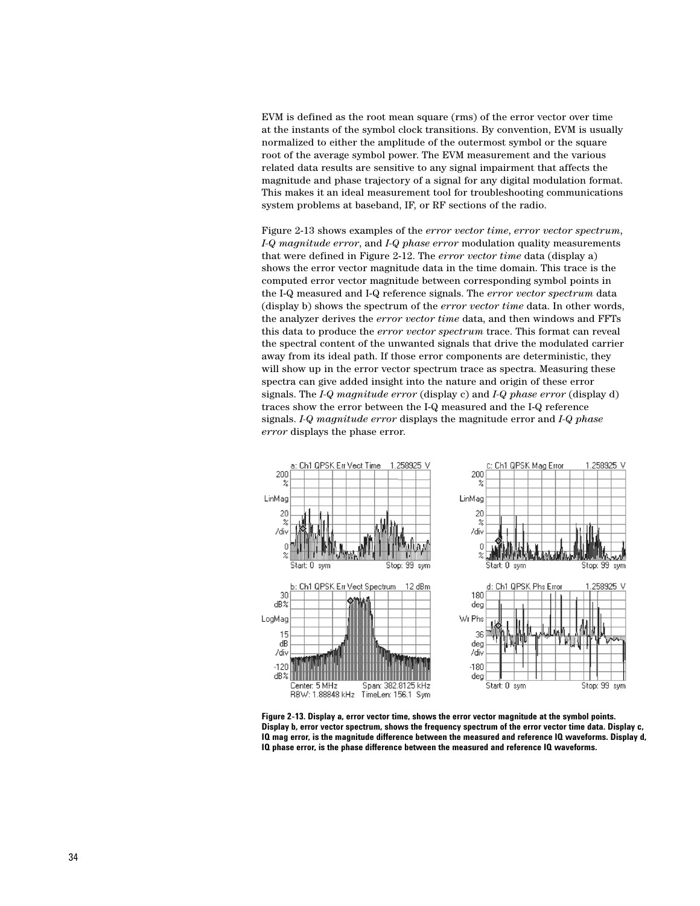EVM is defined as the root mean square (rms) of the error vector over time at the instants of the symbol clock transitions. By convention, EVM is usually normalized to either the amplitude of the outermost symbol or the square root of the average symbol power. The EVM measurement and the various related data results are sensitive to any signal impairment that affects the magnitude and phase trajectory of a signal for any digital modulation format. This makes it an ideal measurement tool for troubleshooting communications system problems at baseband, IF, or RF sections of the radio.

Figure 2-13 shows examples of the *error vector time*, *error vector spectrum*, *I-Q magnitude error*, and *I-Q phase error* modulation quality measurements that were defined in Figure 2-12. The *error vector time* data (display a) shows the error vector magnitude data in the time domain. This trace is the computed error vector magnitude between corresponding symbol points in the I-Q measured and I-Q reference signals. The *error vector spectrum* data (display b) shows the spectrum of the *error vector time* data. In other words, the analyzer derives the *error vector time* data, and then windows and FFTs this data to produce the *error vector spectrum* trace. This format can reveal the spectral content of the unwanted signals that drive the modulated carrier away from its ideal path. If those error components are deterministic, they will show up in the error vector spectrum trace as spectra. Measuring these spectra can give added insight into the nature and origin of these error signals. The *I-Q magnitude error* (display c) and *I-Q phase error* (display d) traces show the error between the I-Q measured and the I-Q reference signals. *I-Q magnitude error* displays the magnitude error and *I-Q phase error* displays the phase error.



**Figure 2-13. Display a, error vector time, shows the error vector magnitude at the symbol points. Display b, error vector spectrum, shows the frequency spectrum of the error vector time data. Display c, IQ mag error, is the magnitude difference between the measured and reference IQ waveforms. Display d, IQ phase error, is the phase difference between the measured and reference IQ waveforms.**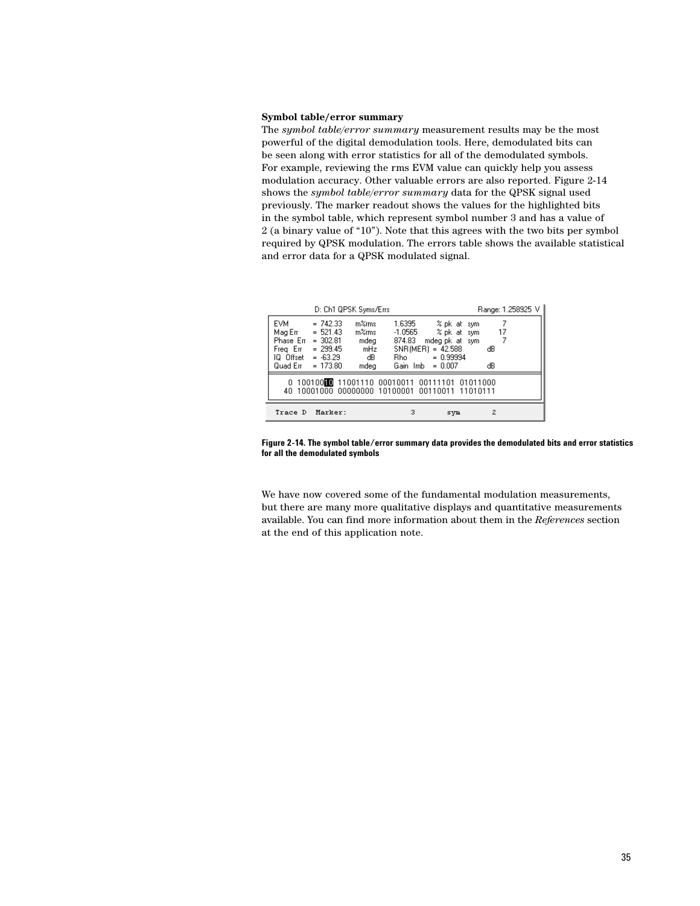#### **Symbol table/error summary**

The *symbol table/error summary* measurement results may be the most powerful of the digital demodulation tools. Here, demodulated bits can be seen along with error statistics for all of the demodulated symbols. For example, reviewing the rms EVM value can quickly help you assess modulation accuracy. Other valuable errors are also reported. Figure 2-14 shows the *symbol table/error summary* data for the QPSK signal used previously. The marker readout shows the values for the highlighted bits in the symbol table, which represent symbol number 3 and has a value of 2 (a binary value of "10"). Note that this agrees with the two bits per symbol required by QPSK modulation. The errors table shows the available statistical and error data for a QPSK modulated signal.

|                                                       | D: Ch1 QPSK Syms/Errs                                                                                     |                                                                      |                                                                                                          | Range: 1.258925 V |
|-------------------------------------------------------|-----------------------------------------------------------------------------------------------------------|----------------------------------------------------------------------|----------------------------------------------------------------------------------------------------------|-------------------|
| EVM.<br>Mag Err<br>Phase Err<br>Freq Err<br>IQ Offset | $= 742.33$<br>m%rms<br>$= 521.43$<br>m%rms<br>$= 302.81$<br>$= 299.45$<br>$= -63.29$<br>Quad Err = 173.80 | 1.6395<br>$-1.0565$<br>874.83<br>mdeg<br>mHz<br>dB.<br>Bho —<br>mdea | % pk at sym<br>% pk at sym<br>mdeg pk at sym<br>$SNR(MER) = 42.588$<br>$= 0.99994$<br>Gain $Imb = 0.007$ | 17<br>dВ<br>dВ    |
|                                                       |                                                                                                           |                                                                      | 0 10010000 11001110 00010011 00111101 01011000<br>40 10001000 00000000 10100001 00110011 11010111        |                   |
| Trace D                                               | Marker:                                                                                                   | з                                                                    | sym                                                                                                      | 2                 |

**Figure 2-14. The symbol table/error summary data provides the demodulated bits and error statistics for all the demodulated symbols**

We have now covered some of the fundamental modulation measurements, but there are many more qualitative displays and quantitative measurements available. You can find more information about them in the *References* section at the end of this application note.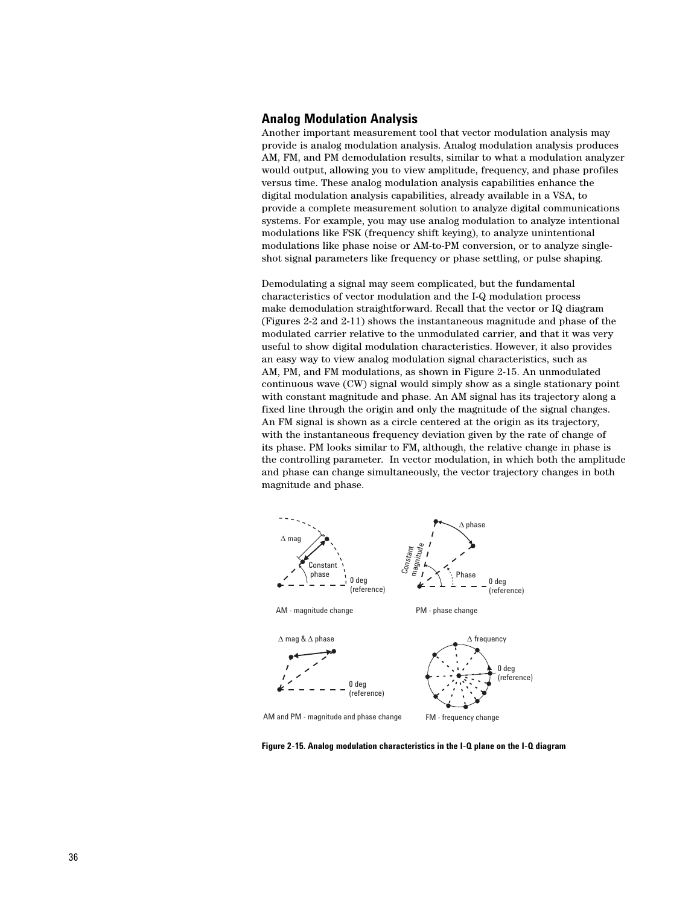# **Analog Modulation Analysis**

Another important measurement tool that vector modulation analysis may provide is analog modulation analysis. Analog modulation analysis produces AM, FM, and PM demodulation results, similar to what a modulation analyzer would output, allowing you to view amplitude, frequency, and phase profiles versus time. These analog modulation analysis capabilities enhance the digital modulation analysis capabilities, already available in a VSA, to provide a complete measurement solution to analyze digital communications systems. For example, you may use analog modulation to analyze intentional modulations like FSK (frequency shift keying), to analyze unintentional modulations like phase noise or AM-to-PM conversion, or to analyze singleshot signal parameters like frequency or phase settling, or pulse shaping.

Demodulating a signal may seem complicated, but the fundamental characteristics of vector modulation and the I-Q modulation process make demodulation straightforward. Recall that the vector or IQ diagram (Figures 2-2 and 2-11) shows the instantaneous magnitude and phase of the modulated carrier relative to the unmodulated carrier, and that it was very useful to show digital modulation characteristics. However, it also provides an easy way to view analog modulation signal characteristics, such as AM, PM, and FM modulations, as shown in Figure 2-15. An unmodulated continuous wave (CW) signal would simply show as a single stationary point with constant magnitude and phase. An AM signal has its trajectory along a fixed line through the origin and only the magnitude of the signal changes. An FM signal is shown as a circle centered at the origin as its trajectory, with the instantaneous frequency deviation given by the rate of change of its phase. PM looks similar to FM, although, the relative change in phase is the controlling parameter. In vector modulation, in which both the amplitude and phase can change simultaneously, the vector trajectory changes in both magnitude and phase.



**Figure 2-15. Analog modulation characteristics in the I-Q plane on the I-Q diagram**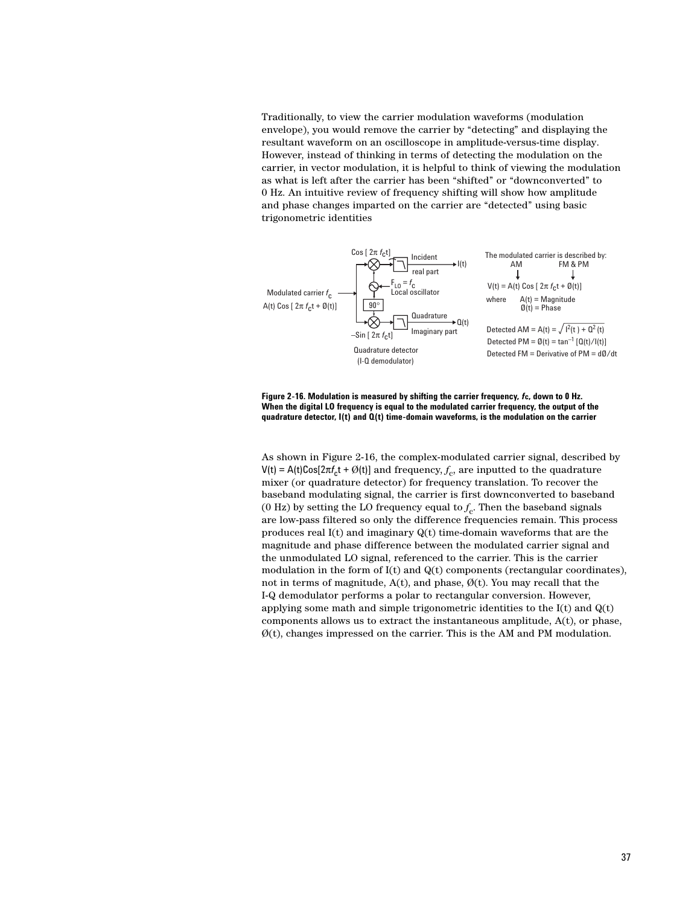Traditionally, to view the carrier modulation waveforms (modulation envelope), you would remove the carrier by "detecting" and displaying the resultant waveform on an oscilloscope in amplitude-versus-time display. However, instead of thinking in terms of detecting the modulation on the carrier, in vector modulation, it is helpful to think of viewing the modulation as what is left after the carrier has been "shifted" or "downconverted" to 0 Hz. An intuitive review of frequency shifting will show how amplitude and phase changes imparted on the carrier are "detected" using basic trigonometric identities



#### **Figure 2-16. Modulation is measured by shifting the carrier frequency,** *f***c, down to 0 Hz. When the digital LO frequency is equal to the modulated carrier frequency, the output of the quadrature detector, I(t) and Q(t) time-domain waveforms, is the modulation on the carrier**

As shown in Figure 2-16, the complex-modulated carrier signal, described by  $V(t) = A(t)Cos[2\pi f_c t + \emptyset(t)]$  and frequency,  $f_c$ , are inputted to the quadrature mixer (or quadrature detector) for frequency translation. To recover the baseband modulating signal, the carrier is first downconverted to baseband (0 Hz) by setting the LO frequency equal to  $f_{\rm c}.$  Then the baseband signals are low-pass filtered so only the difference frequencies remain. This process produces real I(t) and imaginary Q(t) time-domain waveforms that are the magnitude and phase difference between the modulated carrier signal and the unmodulated LO signal, referenced to the carrier. This is the carrier modulation in the form of I(t) and Q(t) components (rectangular coordinates), not in terms of magnitude,  $A(t)$ , and phase,  $\emptyset(t)$ . You may recall that the I-Q demodulator performs a polar to rectangular conversion. However, applying some math and simple trigonometric identities to the I(t) and Q(t) components allows us to extract the instantaneous amplitude, A(t), or phase,  $\varnothing(t)$ , changes impressed on the carrier. This is the AM and PM modulation.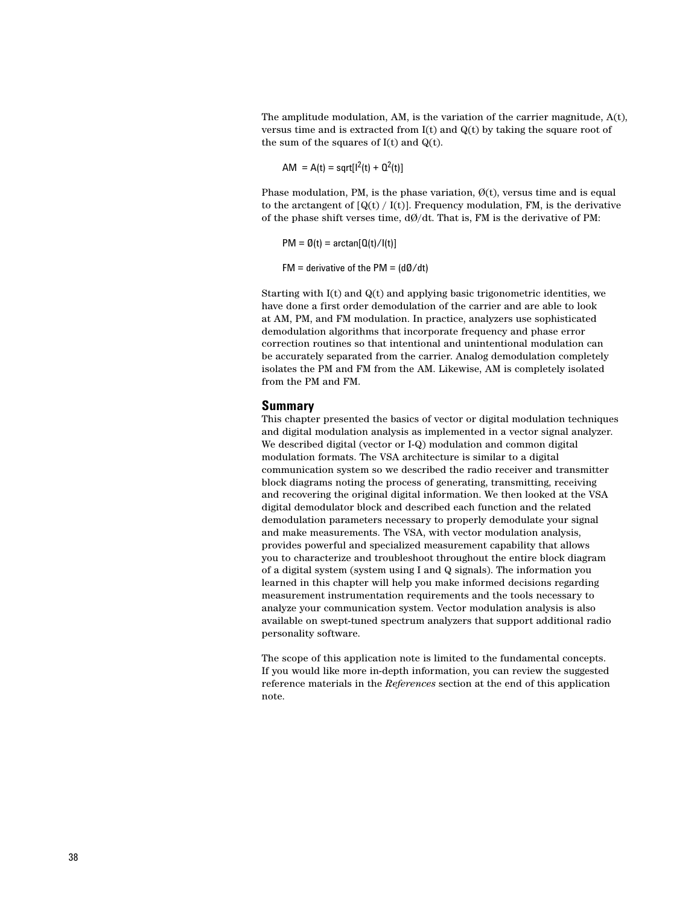The amplitude modulation, AM, is the variation of the carrier magnitude,  $A(t)$ , versus time and is extracted from  $I(t)$  and  $Q(t)$  by taking the square root of the sum of the squares of  $I(t)$  and  $Q(t)$ .

AM = A(t) = sqrt[ $1^2$ (t) + Q<sup>2</sup>(t)]

Phase modulation, PM, is the phase variation,  $\varnothing(t)$ , versus time and is equal to the arctangent of  $[Q(t) / I(t)]$ . Frequency modulation, FM, is the derivative of the phase shift verses time,  $d\phi/dt$ . That is, FM is the derivative of PM:

 $PM = \emptyset(t) = \arctan[\frac{\Omega(t)}{I(t)}]$ 

FM = derivative of the PM =  $(dQ/dt)$ 

Starting with  $I(t)$  and  $Q(t)$  and applying basic trigonometric identities, we have done a first order demodulation of the carrier and are able to look at AM, PM, and FM modulation. In practice, analyzers use sophisticated demodulation algorithms that incorporate frequency and phase error correction routines so that intentional and unintentional modulation can be accurately separated from the carrier. Analog demodulation completely isolates the PM and FM from the AM. Likewise, AM is completely isolated from the PM and FM.

#### **Summary**

This chapter presented the basics of vector or digital modulation techniques and digital modulation analysis as implemented in a vector signal analyzer. We described digital (vector or I-Q) modulation and common digital modulation formats. The VSA architecture is similar to a digital communication system so we described the radio receiver and transmitter block diagrams noting the process of generating, transmitting, receiving and recovering the original digital information. We then looked at the VSA digital demodulator block and described each function and the related demodulation parameters necessary to properly demodulate your signal and make measurements. The VSA, with vector modulation analysis, provides powerful and specialized measurement capability that allows you to characterize and troubleshoot throughout the entire block diagram of a digital system (system using I and Q signals). The information you learned in this chapter will help you make informed decisions regarding measurement instrumentation requirements and the tools necessary to analyze your communication system. Vector modulation analysis is also available on swept-tuned spectrum analyzers that support additional radio personality software.

The scope of this application note is limited to the fundamental concepts. If you would like more in-depth information, you can review the suggested reference materials in the *References* section at the end of this application note.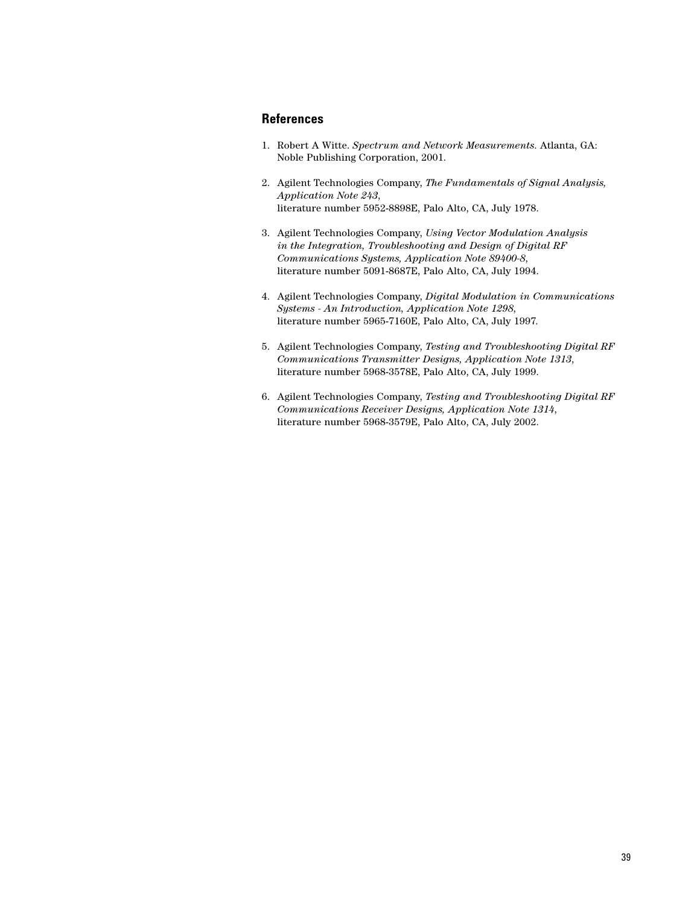# **References**

- 1. Robert A Witte. *Spectrum and Network Measurements*. Atlanta, GA: Noble Publishing Corporation, 2001.
- 2. Agilent Technologies Company, *The Fundamentals of Signal Analysis, Application Note 243*, literature number 5952-8898E, Palo Alto, CA, July 1978.
- 3. Agilent Technologies Company, *Using Vector Modulation Analysis in the Integration, Troubleshooting and Design of Digital RF Communications Systems, Application Note 89400-8*, literature number 5091-8687E, Palo Alto, CA, July 1994.
- 4. Agilent Technologies Company, *Digital Modulation in Communications Systems - An Introduction, Application Note 1298*, literature number 5965-7160E, Palo Alto, CA, July 1997.
- 5. Agilent Technologies Company, *Testing and Troubleshooting Digital RF Communications Transmitter Designs, Application Note 1313*, literature number 5968-3578E, Palo Alto, CA, July 1999.
- 6. Agilent Technologies Company, *Testing and Troubleshooting Digital RF Communications Receiver Designs, Application Note 1314*, literature number 5968-3579E, Palo Alto, CA, July 2002.